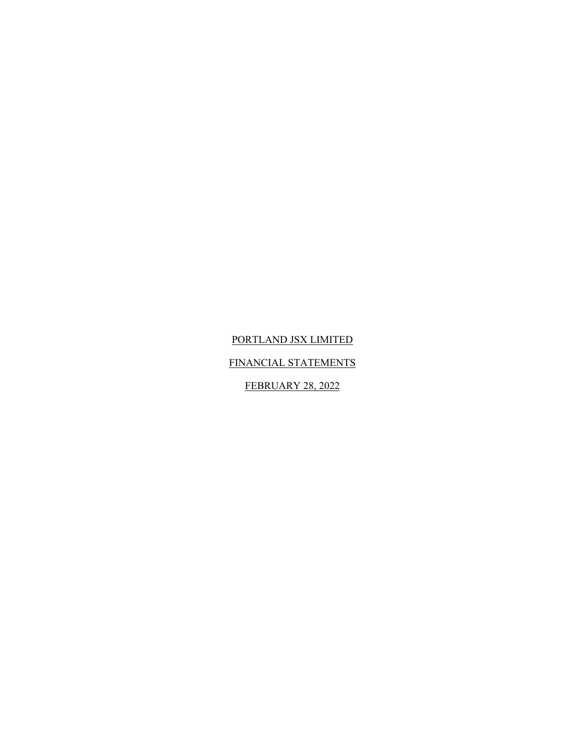# FINANCIAL STATEMENTS

# FEBRUARY 28, 2022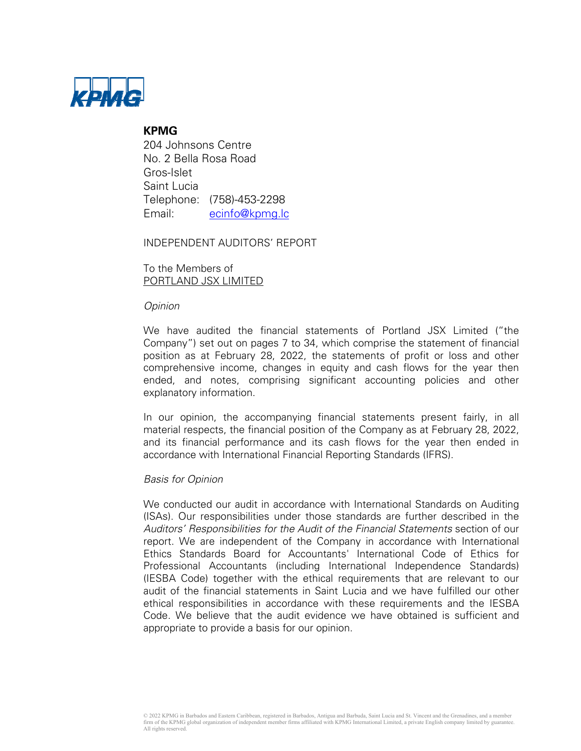

# **KPMG**

204 Johnsons Centre No. 2 Bella Rosa Road Gros-Islet Saint Lucia Telephone: (758)-453-2298 Email: ecinfo@kpmg.lc

INDEPENDENT AUDITORS' REPORT

To the Members of PORTLAND JSX LIMITED

### *Opinion*

We have audited the financial statements of Portland JSX Limited ("the Company") set out on pages 7 to 34, which comprise the statement of financial position as at February 28, 2022, the statements of profit or loss and other comprehensive income, changes in equity and cash flows for the year then ended, and notes, comprising significant accounting policies and other explanatory information.

In our opinion, the accompanying financial statements present fairly, in all material respects, the financial position of the Company as at February 28, 2022, and its financial performance and its cash flows for the year then ended in accordance with International Financial Reporting Standards (IFRS).

## *Basis for Opinion*

We conducted our audit in accordance with International Standards on Auditing (ISAs). Our responsibilities under those standards are further described in the *Auditors' Responsibilities for the Audit of the Financial Statements* section of our report. We are independent of the Company in accordance with International Ethics Standards Board for Accountants' International Code of Ethics for Professional Accountants (including International Independence Standards) (IESBA Code) together with the ethical requirements that are relevant to our audit of the financial statements in Saint Lucia and we have fulfilled our other ethical responsibilities in accordance with these requirements and the IESBA Code. We believe that the audit evidence we have obtained is sufficient and appropriate to provide a basis for our opinion.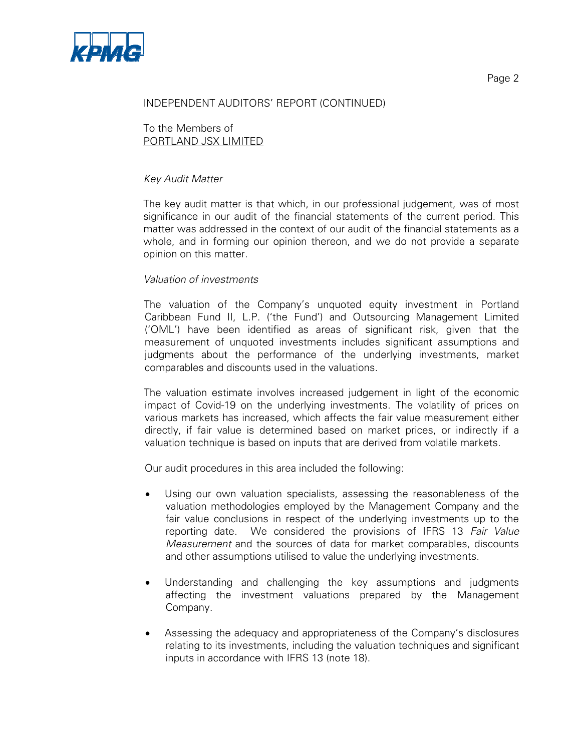

To the Members of PORTLAND JSX LIMITED

### *Key Audit Matter*

The key audit matter is that which, in our professional judgement, was of most significance in our audit of the financial statements of the current period. This matter was addressed in the context of our audit of the financial statements as a whole, and in forming our opinion thereon, and we do not provide a separate opinion on this matter.

## *Valuation of investments*

The valuation of the Company's unquoted equity investment in Portland Caribbean Fund II, L.P. ('the Fund') and Outsourcing Management Limited ('OML') have been identified as areas of significant risk, given that the measurement of unquoted investments includes significant assumptions and judgments about the performance of the underlying investments, market comparables and discounts used in the valuations.

The valuation estimate involves increased judgement in light of the economic impact of Covid-19 on the underlying investments. The volatility of prices on various markets has increased, which affects the fair value measurement either directly, if fair value is determined based on market prices, or indirectly if a valuation technique is based on inputs that are derived from volatile markets.

Our audit procedures in this area included the following:

- Using our own valuation specialists, assessing the reasonableness of the valuation methodologies employed by the Management Company and the fair value conclusions in respect of the underlying investments up to the reporting date. We considered the provisions of IFRS 13 *Fair Value Measurement* and the sources of data for market comparables, discounts and other assumptions utilised to value the underlying investments.
- Understanding and challenging the key assumptions and judgments affecting the investment valuations prepared by the Management Company.
- Assessing the adequacy and appropriateness of the Company's disclosures relating to its investments, including the valuation techniques and significant inputs in accordance with IFRS 13 (note 18).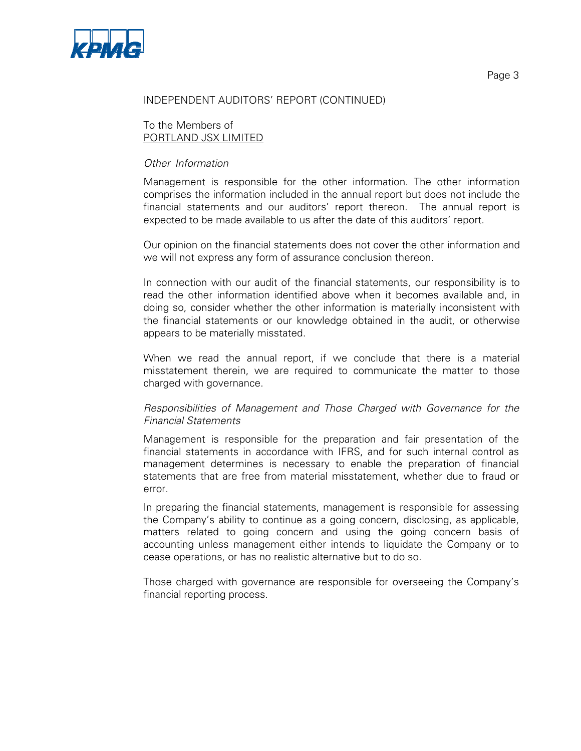

### To the Members of PORTLAND JSX LIMITED

### *Other Information*

Management is responsible for the other information. The other information comprises the information included in the annual report but does not include the financial statements and our auditors' report thereon. The annual report is expected to be made available to us after the date of this auditors' report.

Our opinion on the financial statements does not cover the other information and we will not express any form of assurance conclusion thereon.

In connection with our audit of the financial statements, our responsibility is to read the other information identified above when it becomes available and, in doing so, consider whether the other information is materially inconsistent with the financial statements or our knowledge obtained in the audit, or otherwise appears to be materially misstated.

When we read the annual report, if we conclude that there is a material misstatement therein, we are required to communicate the matter to those charged with governance.

### *Responsibilities of Management and Those Charged with Governance for the Financial Statements*

Management is responsible for the preparation and fair presentation of the financial statements in accordance with IFRS, and for such internal control as management determines is necessary to enable the preparation of financial statements that are free from material misstatement, whether due to fraud or error.

In preparing the financial statements, management is responsible for assessing the Company's ability to continue as a going concern, disclosing, as applicable, matters related to going concern and using the going concern basis of accounting unless management either intends to liquidate the Company or to cease operations, or has no realistic alternative but to do so.

Those charged with governance are responsible for overseeing the Company's financial reporting process.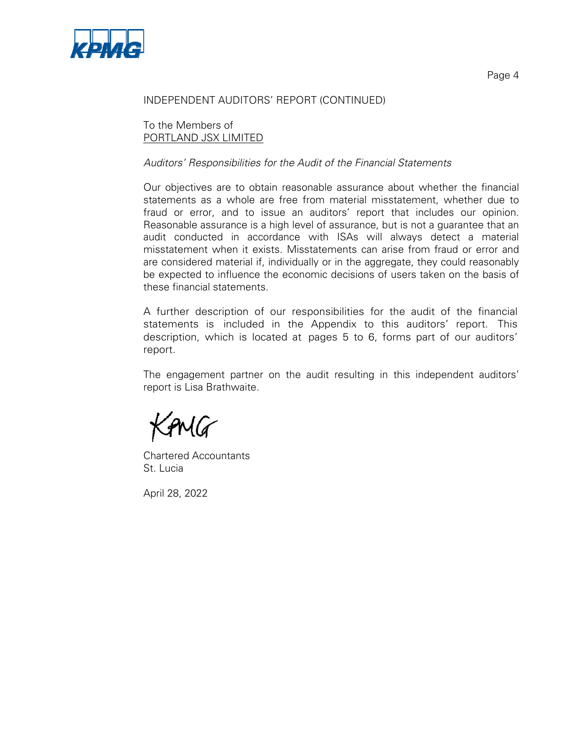

## To the Members of PORTLAND JSX LIMITED

## *Auditors' Responsibilities for the Audit of the Financial Statements*

Our objectives are to obtain reasonable assurance about whether the financial statements as a whole are free from material misstatement, whether due to fraud or error, and to issue an auditors' report that includes our opinion. Reasonable assurance is a high level of assurance, but is not a guarantee that an audit conducted in accordance with ISAs will always detect a material misstatement when it exists. Misstatements can arise from fraud or error and are considered material if, individually or in the aggregate, they could reasonably be expected to influence the economic decisions of users taken on the basis of these financial statements.

A further description of our responsibilities for the audit of the financial statements is included in the Appendix to this auditors' report. This description, which is located at pages 5 to 6, forms part of our auditors' report.

The engagement partner on the audit resulting in this independent auditors' report is Lisa Brathwaite.

SPMG

Chartered Accountants St. Lucia

April 28, 2022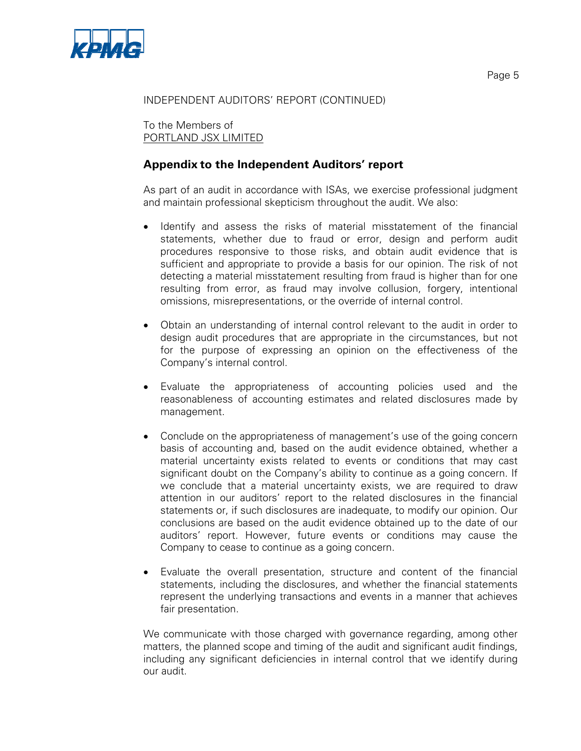

To the Members of PORTLAND JSX LIMITED

# **Appendix to the Independent Auditors' report**

As part of an audit in accordance with ISAs, we exercise professional judgment and maintain professional skepticism throughout the audit. We also:

- Identify and assess the risks of material misstatement of the financial statements, whether due to fraud or error, design and perform audit procedures responsive to those risks, and obtain audit evidence that is sufficient and appropriate to provide a basis for our opinion. The risk of not detecting a material misstatement resulting from fraud is higher than for one resulting from error, as fraud may involve collusion, forgery, intentional omissions, misrepresentations, or the override of internal control.
- Obtain an understanding of internal control relevant to the audit in order to design audit procedures that are appropriate in the circumstances, but not for the purpose of expressing an opinion on the effectiveness of the Company's internal control.
- Evaluate the appropriateness of accounting policies used and the reasonableness of accounting estimates and related disclosures made by management.
- Conclude on the appropriateness of management's use of the going concern basis of accounting and, based on the audit evidence obtained, whether a material uncertainty exists related to events or conditions that may cast significant doubt on the Company's ability to continue as a going concern. If we conclude that a material uncertainty exists, we are required to draw attention in our auditors' report to the related disclosures in the financial statements or, if such disclosures are inadequate, to modify our opinion. Our conclusions are based on the audit evidence obtained up to the date of our auditors' report. However, future events or conditions may cause the Company to cease to continue as a going concern.
- Evaluate the overall presentation, structure and content of the financial statements, including the disclosures, and whether the financial statements represent the underlying transactions and events in a manner that achieves fair presentation.

We communicate with those charged with governance regarding, among other matters, the planned scope and timing of the audit and significant audit findings, including any significant deficiencies in internal control that we identify during our audit.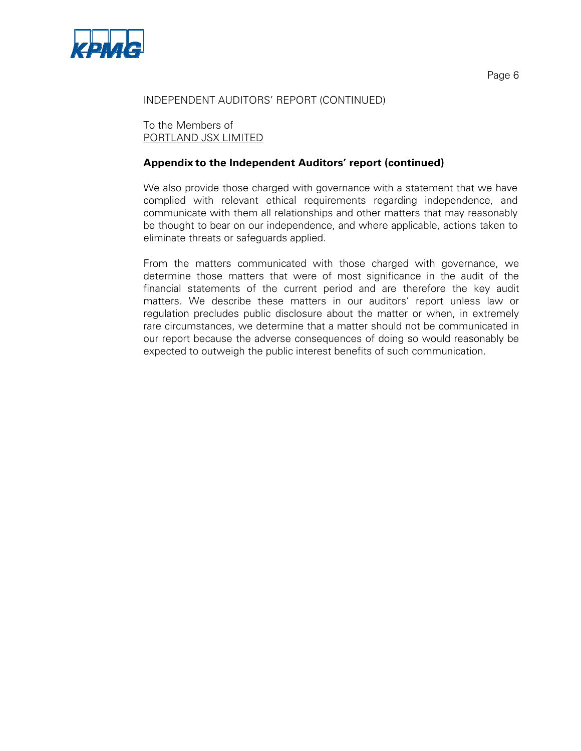

To the Members of PORTLAND JSX LIMITED

### **Appendix to the Independent Auditors' report (continued)**

We also provide those charged with governance with a statement that we have complied with relevant ethical requirements regarding independence, and communicate with them all relationships and other matters that may reasonably be thought to bear on our independence, and where applicable, actions taken to eliminate threats or safeguards applied.

From the matters communicated with those charged with governance, we determine those matters that were of most significance in the audit of the financial statements of the current period and are therefore the key audit matters. We describe these matters in our auditors' report unless law or regulation precludes public disclosure about the matter or when, in extremely rare circumstances, we determine that a matter should not be communicated in our report because the adverse consequences of doing so would reasonably be expected to outweigh the public interest benefits of such communication.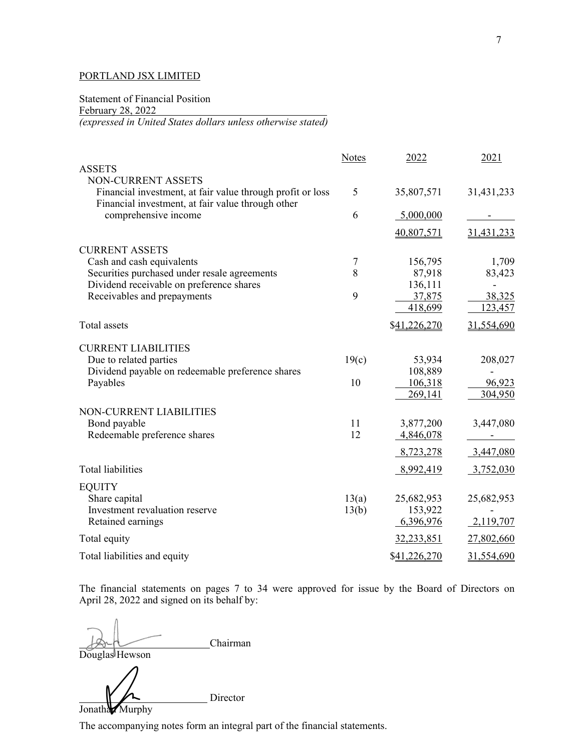Statement of Financial Position February 28, 2022

*(expressed in United States dollars unless otherwise stated)* 

|                                                                                                                 | <b>Notes</b> | 2022              | 2021       |
|-----------------------------------------------------------------------------------------------------------------|--------------|-------------------|------------|
| <b>ASSETS</b><br><b>NON-CURRENT ASSETS</b>                                                                      |              |                   |            |
| Financial investment, at fair value through profit or loss<br>Financial investment, at fair value through other | 5            | 35,807,571        | 31,431,233 |
| comprehensive income                                                                                            | 6            | 5,000,000         |            |
|                                                                                                                 |              | 40,807,571        | 31,431,233 |
| <b>CURRENT ASSETS</b>                                                                                           |              |                   |            |
| Cash and cash equivalents                                                                                       | 7            | 156,795           | 1,709      |
| Securities purchased under resale agreements                                                                    | 8            | 87,918            | 83,423     |
| Dividend receivable on preference shares                                                                        |              | 136,111           |            |
| Receivables and prepayments                                                                                     | 9            | 37,875            | 38,325     |
|                                                                                                                 |              | 418,699           | 123,457    |
| Total assets                                                                                                    |              | \$41,226,270      | 31,554,690 |
| <b>CURRENT LIABILITIES</b>                                                                                      |              |                   |            |
| Due to related parties                                                                                          | 19(c)        | 53,934            | 208,027    |
| Dividend payable on redeemable preference shares                                                                |              | 108,889           |            |
| Payables                                                                                                        | 10           | 106,318           | 96,923     |
|                                                                                                                 |              | 269,141           | 304,950    |
| <b>NON-CURRENT LIABILITIES</b>                                                                                  |              |                   |            |
| Bond payable                                                                                                    | 11           | 3,877,200         | 3,447,080  |
| Redeemable preference shares                                                                                    | 12           | 4,846,078         |            |
|                                                                                                                 |              | 8,723,278         | 3,447,080  |
| <b>Total liabilities</b>                                                                                        |              | 8,992,419         | 3,752,030  |
| <b>EQUITY</b>                                                                                                   |              |                   |            |
| Share capital                                                                                                   | 13(a)        | 25,682,953        | 25,682,953 |
| Investment revaluation reserve                                                                                  | 13(b)        | 153,922           |            |
| Retained earnings                                                                                               |              | 6,396,976         | 2,119,707  |
| Total equity                                                                                                    |              | <u>32,233,851</u> | 27,802,660 |
| Total liabilities and equity                                                                                    |              | \$41,226,270      | 31,554,690 |

The financial statements on pages 7 to 34 were approved for issue by the Board of Directors on April 28, 2022 and signed on its behalf by:

Chairman

Douglas Hewson

 Director Jonathan Murphy

The accompanying notes form an integral part of the financial statements.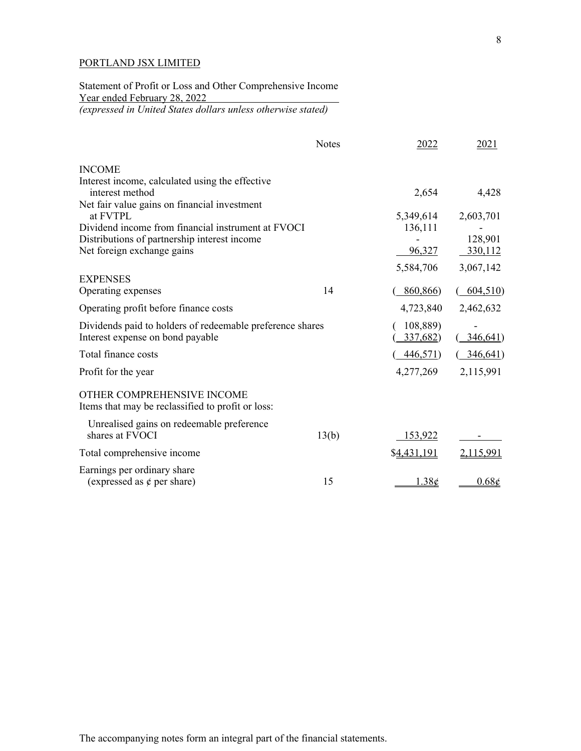## Statement of Profit or Loss and Other Comprehensive Income Year ended February 28, 2022 *(expressed in United States dollars unless otherwise stated)*

|                                                                                               | <b>Notes</b> | 2022                 | 2021                               |
|-----------------------------------------------------------------------------------------------|--------------|----------------------|------------------------------------|
| <b>INCOME</b>                                                                                 |              |                      |                                    |
| Interest income, calculated using the effective<br>interest method                            |              | 2,654                | 4,428                              |
| Net fair value gains on financial investment<br>at FVTPL                                      |              | 5,349,614            | 2,603,701                          |
| Dividend income from financial instrument at FVOCI                                            |              | 136,111              |                                    |
| Distributions of partnership interest income                                                  |              |                      | 128,901                            |
| Net foreign exchange gains                                                                    |              | 96,327               | 330,112                            |
|                                                                                               |              | 5,584,706            | 3,067,142                          |
| <b>EXPENSES</b>                                                                               |              |                      |                                    |
| Operating expenses                                                                            | 14           | 860,866)             | 604,510                            |
| Operating profit before finance costs                                                         |              | 4,723,840            | 2,462,632                          |
| Dividends paid to holders of redeemable preference shares<br>Interest expense on bond payable |              | 108,889)<br>337,682) | 346,641)                           |
| Total finance costs                                                                           |              | 446,571)             | $\left( \frac{346,641}{2} \right)$ |
| Profit for the year                                                                           |              | 4,277,269            | 2,115,991                          |
| OTHER COMPREHENSIVE INCOME<br>Items that may be reclassified to profit or loss:               |              |                      |                                    |
| Unrealised gains on redeemable preference<br>shares at FVOCI                                  | 13(b)        | 153,922              |                                    |
| Total comprehensive income                                                                    |              | \$4,431,191          | 2,115,991                          |
| Earnings per ordinary share                                                                   |              |                      |                                    |
| (expressed as $\phi$ per share)                                                               | 15           | 1.38c                | $0.68\epsilon$                     |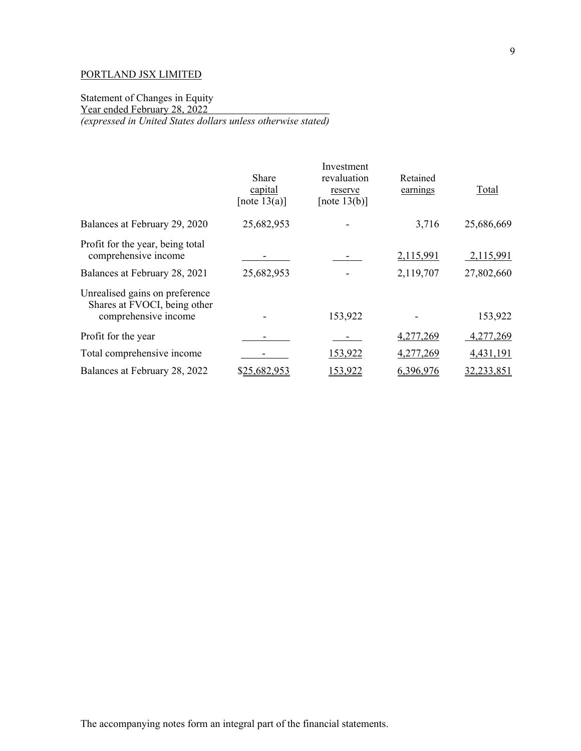Statement of Changes in Equity Year ended February 28, 2022

*(expressed in United States dollars unless otherwise stated)* 

|                                                                                        | Share<br>capital<br>[note $13(a)$ ] | Investment<br>revaluation<br>reserve<br>[note $13(b)$ ] | Retained<br>earnings | Total      |
|----------------------------------------------------------------------------------------|-------------------------------------|---------------------------------------------------------|----------------------|------------|
| Balances at February 29, 2020                                                          | 25,682,953                          |                                                         | 3,716                | 25,686,669 |
| Profit for the year, being total<br>comprehensive income                               |                                     |                                                         | 2,115,991            | 2,115,991  |
| Balances at February 28, 2021                                                          | 25,682,953                          |                                                         | 2,119,707            | 27,802,660 |
| Unrealised gains on preference<br>Shares at FVOCI, being other<br>comprehensive income |                                     | 153,922                                                 |                      | 153,922    |
| Profit for the year                                                                    |                                     |                                                         | 4,277,269            | 4,277,269  |
| Total comprehensive income                                                             |                                     | 153,922                                                 | 4,277,269            | 4,431,191  |
| Balances at February 28, 2022                                                          | \$25,682,953                        | 153,922                                                 | 6,396,976            | 32,233,851 |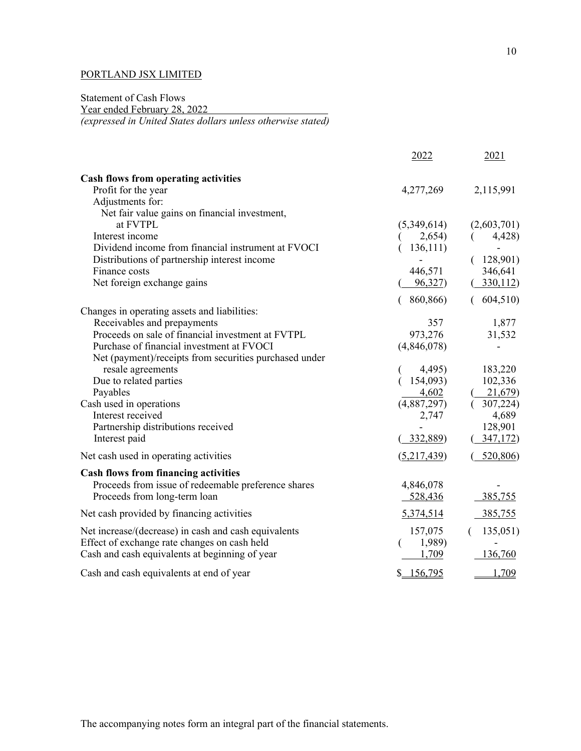Statement of Cash Flows Year ended February 28, 2022 *(expressed in United States dollars unless otherwise stated)* 

|                                                        | 2022               | 2021           |
|--------------------------------------------------------|--------------------|----------------|
| <b>Cash flows from operating activities</b>            |                    |                |
| Profit for the year                                    | 4,277,269          | 2,115,991      |
| Adjustments for:                                       |                    |                |
| Net fair value gains on financial investment,          |                    |                |
| at FVTPL                                               | (5,349,614)        | (2,603,701)    |
| Interest income                                        | 2,654)             | 4,428)         |
| Dividend income from financial instrument at FVOCI     | 136,111)           |                |
| Distributions of partnership interest income           |                    | 128,901)       |
| Finance costs                                          | 446,571            | 346,641        |
| Net foreign exchange gains                             | 96,327)            | 330,112        |
|                                                        | (860, 866)         | 604,510)       |
| Changes in operating assets and liabilities:           |                    |                |
| Receivables and prepayments                            | 357                | 1,877          |
| Proceeds on sale of financial investment at FVTPL      | 973,276            | 31,532         |
| Purchase of financial investment at FVOCI              | (4,846,078)        |                |
| Net (payment)/receipts from securities purchased under |                    |                |
| resale agreements                                      | 4,495)             | 183,220        |
| Due to related parties                                 | 154,093)           | 102,336        |
| Payables                                               | 4,602              | 21,679)        |
| Cash used in operations                                | (4,887,297)        | 307,224)       |
| Interest received                                      | 2,747              | 4,689          |
| Partnership distributions received                     |                    | 128,901        |
| Interest paid                                          | (332,889)          | 347,172)       |
| Net cash used in operating activities                  | (5,217,439)        | (520,806)      |
| <b>Cash flows from financing activities</b>            |                    |                |
| Proceeds from issue of redeemable preference shares    | 4,846,078          |                |
| Proceeds from long-term loan                           | 528,436            | 385,755        |
| Net cash provided by financing activities              | 5,374,514          | <u>385,755</u> |
| Net increase/(decrease) in cash and cash equivalents   | 157,075            | 135,051)       |
| Effect of exchange rate changes on cash held           | 1,989)<br>€        |                |
| Cash and cash equivalents at beginning of year         | 1,709              | 136,760        |
| Cash and cash equivalents at end of year               | 156,795<br>$S_{-}$ | 1,709          |
|                                                        |                    |                |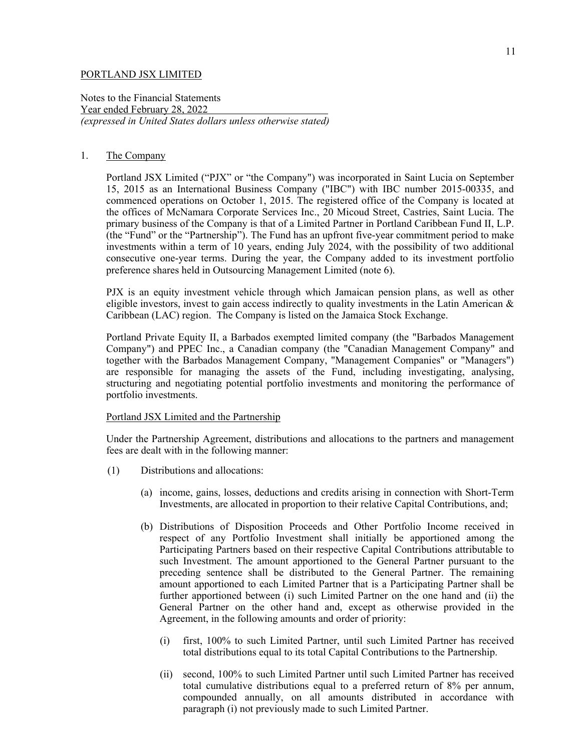Notes to the Financial Statements Year ended February 28, 2022 *(expressed in United States dollars unless otherwise stated)* 

#### 1. The Company

Portland JSX Limited ("PJX" or "the Company") was incorporated in Saint Lucia on September 15, 2015 as an International Business Company ("IBC") with IBC number 2015-00335, and commenced operations on October 1, 2015. The registered office of the Company is located at the offices of McNamara Corporate Services Inc., 20 Micoud Street, Castries, Saint Lucia. The primary business of the Company is that of a Limited Partner in Portland Caribbean Fund II, L.P. (the "Fund" or the "Partnership"). The Fund has an upfront five-year commitment period to make investments within a term of 10 years, ending July 2024, with the possibility of two additional consecutive one-year terms. During the year, the Company added to its investment portfolio preference shares held in Outsourcing Management Limited (note 6).

PJX is an equity investment vehicle through which Jamaican pension plans, as well as other eligible investors, invest to gain access indirectly to quality investments in the Latin American  $\&$ Caribbean (LAC) region. The Company is listed on the Jamaica Stock Exchange.

Portland Private Equity II, a Barbados exempted limited company (the "Barbados Management Company") and PPEC Inc., a Canadian company (the "Canadian Management Company" and together with the Barbados Management Company, "Management Companies" or "Managers") are responsible for managing the assets of the Fund, including investigating, analysing, structuring and negotiating potential portfolio investments and monitoring the performance of portfolio investments.

### Portland JSX Limited and the Partnership

Under the Partnership Agreement, distributions and allocations to the partners and management fees are dealt with in the following manner:

- (1) Distributions and allocations:
	- (a) income, gains, losses, deductions and credits arising in connection with Short-Term Investments, are allocated in proportion to their relative Capital Contributions, and;
	- (b) Distributions of Disposition Proceeds and Other Portfolio Income received in respect of any Portfolio Investment shall initially be apportioned among the Participating Partners based on their respective Capital Contributions attributable to such Investment. The amount apportioned to the General Partner pursuant to the preceding sentence shall be distributed to the General Partner. The remaining amount apportioned to each Limited Partner that is a Participating Partner shall be further apportioned between (i) such Limited Partner on the one hand and (ii) the General Partner on the other hand and, except as otherwise provided in the Agreement, in the following amounts and order of priority:
		- (i) first, 100% to such Limited Partner, until such Limited Partner has received total distributions equal to its total Capital Contributions to the Partnership.
		- (ii) second, 100% to such Limited Partner until such Limited Partner has received total cumulative distributions equal to a preferred return of 8% per annum, compounded annually, on all amounts distributed in accordance with paragraph (i) not previously made to such Limited Partner.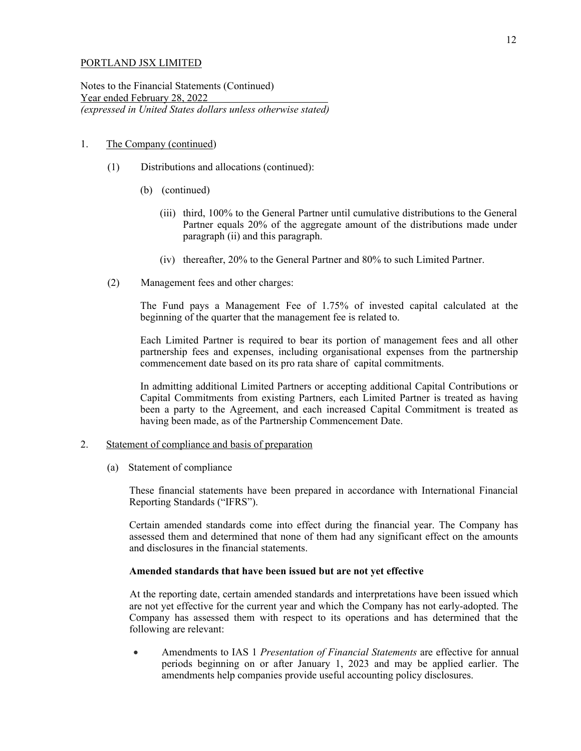Notes to the Financial Statements (Continued) Year ended February 28, 2022 *(expressed in United States dollars unless otherwise stated)* 

### 1. The Company (continued)

- (1) Distributions and allocations (continued):
	- (b) (continued)
		- (iii) third, 100% to the General Partner until cumulative distributions to the General Partner equals 20% of the aggregate amount of the distributions made under paragraph (ii) and this paragraph.
		- (iv) thereafter, 20% to the General Partner and 80% to such Limited Partner.
- (2) Management fees and other charges:

The Fund pays a Management Fee of 1.75% of invested capital calculated at the beginning of the quarter that the management fee is related to.

Each Limited Partner is required to bear its portion of management fees and all other partnership fees and expenses, including organisational expenses from the partnership commencement date based on its pro rata share of capital commitments.

In admitting additional Limited Partners or accepting additional Capital Contributions or Capital Commitments from existing Partners, each Limited Partner is treated as having been a party to the Agreement, and each increased Capital Commitment is treated as having been made, as of the Partnership Commencement Date.

### 2. Statement of compliance and basis of preparation

(a) Statement of compliance

These financial statements have been prepared in accordance with International Financial Reporting Standards ("IFRS").

Certain amended standards come into effect during the financial year. The Company has assessed them and determined that none of them had any significant effect on the amounts and disclosures in the financial statements.

### **Amended standards that have been issued but are not yet effective**

At the reporting date, certain amended standards and interpretations have been issued which are not yet effective for the current year and which the Company has not early-adopted. The Company has assessed them with respect to its operations and has determined that the following are relevant:

 Amendments to IAS 1 *Presentation of Financial Statements* are effective for annual periods beginning on or after January 1, 2023 and may be applied earlier. The amendments help companies provide useful accounting policy disclosures.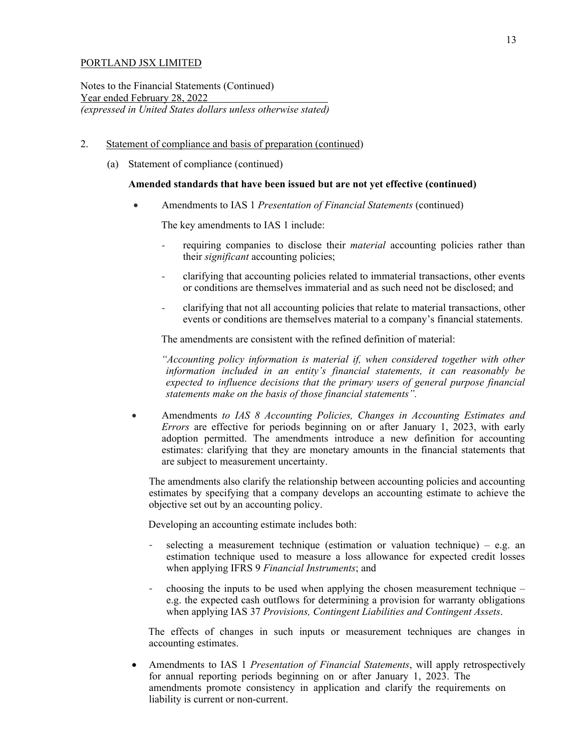Notes to the Financial Statements (Continued) Year ended February 28, 2022 *(expressed in United States dollars unless otherwise stated)* 

- 2. Statement of compliance and basis of preparation (continued)
	- (a) Statement of compliance (continued)

#### **Amended standards that have been issued but are not yet effective (continued)**

Amendments to IAS 1 *Presentation of Financial Statements* (continued)

The key amendments to IAS 1 include:

- requiring companies to disclose their *material* accounting policies rather than their *significant* accounting policies;
- clarifying that accounting policies related to immaterial transactions, other events or conditions are themselves immaterial and as such need not be disclosed; and
- clarifying that not all accounting policies that relate to material transactions, other events or conditions are themselves material to a company's financial statements.

The amendments are consistent with the refined definition of material:

*"Accounting policy information is material if, when considered together with other information included in an entity's financial statements, it can reasonably be expected to influence decisions that the primary users of general purpose financial statements make on the basis of those financial statements".* 

 Amendments *to IAS 8 Accounting Policies, Changes in Accounting Estimates and Errors* are effective for periods beginning on or after January 1, 2023, with early adoption permitted. The amendments introduce a new definition for accounting estimates: clarifying that they are monetary amounts in the financial statements that are subject to measurement uncertainty.

The amendments also clarify the relationship between accounting policies and accounting estimates by specifying that a company develops an accounting estimate to achieve the objective set out by an accounting policy.

Developing an accounting estimate includes both:

- selecting a measurement technique (estimation or valuation technique) e.g. an estimation technique used to measure a loss allowance for expected credit losses when applying IFRS 9 *Financial Instruments*; and
- choosing the inputs to be used when applying the chosen measurement technique e.g. the expected cash outflows for determining a provision for warranty obligations when applying IAS 37 *Provisions, Contingent Liabilities and Contingent Assets*.

The effects of changes in such inputs or measurement techniques are changes in accounting estimates.

• Amendments to IAS 1 *Presentation of Financial Statements*, will apply retrospectively for annual reporting periods beginning on or after January 1, 2023. The amendments promote consistency in application and clarify the requirements on liability is current or non-current.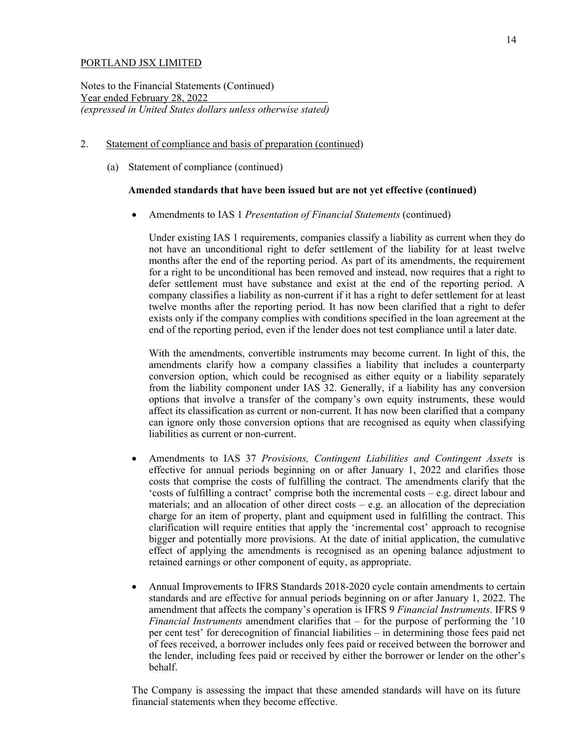Notes to the Financial Statements (Continued) Year ended February 28, 2022 *(expressed in United States dollars unless otherwise stated)* 

#### 2. Statement of compliance and basis of preparation (continued)

(a) Statement of compliance (continued)

#### **Amended standards that have been issued but are not yet effective (continued)**

Amendments to IAS 1 *Presentation of Financial Statements* (continued)

Under existing IAS 1 requirements, companies classify a liability as current when they do not have an unconditional right to defer settlement of the liability for at least twelve months after the end of the reporting period. As part of its amendments, the requirement for a right to be unconditional has been removed and instead, now requires that a right to defer settlement must have substance and exist at the end of the reporting period. A company classifies a liability as non-current if it has a right to defer settlement for at least twelve months after the reporting period. It has now been clarified that a right to defer exists only if the company complies with conditions specified in the loan agreement at the end of the reporting period, even if the lender does not test compliance until a later date.

With the amendments, convertible instruments may become current. In light of this, the amendments clarify how a company classifies a liability that includes a counterparty conversion option, which could be recognised as either equity or a liability separately from the liability component under IAS 32. Generally, if a liability has any conversion options that involve a transfer of the company's own equity instruments, these would affect its classification as current or non-current. It has now been clarified that a company can ignore only those conversion options that are recognised as equity when classifying liabilities as current or non-current.

- Amendments to IAS 37 *Provisions, Contingent Liabilities and Contingent Assets* is effective for annual periods beginning on or after January 1, 2022 and clarifies those costs that comprise the costs of fulfilling the contract. The amendments clarify that the 'costs of fulfilling a contract' comprise both the incremental costs – e.g. direct labour and materials; and an allocation of other direct costs  $-$  e.g. an allocation of the depreciation charge for an item of property, plant and equipment used in fulfilling the contract. This clarification will require entities that apply the 'incremental cost' approach to recognise bigger and potentially more provisions. At the date of initial application, the cumulative effect of applying the amendments is recognised as an opening balance adjustment to retained earnings or other component of equity, as appropriate.
- Annual Improvements to IFRS Standards 2018-2020 cycle contain amendments to certain standards and are effective for annual periods beginning on or after January 1, 2022. The amendment that affects the company's operation is IFRS 9 *Financial Instruments*. IFRS 9 *Financial Instruments* amendment clarifies that – for the purpose of performing the '10 per cent test' for derecognition of financial liabilities – in determining those fees paid net of fees received, a borrower includes only fees paid or received between the borrower and the lender, including fees paid or received by either the borrower or lender on the other's behalf.

The Company is assessing the impact that these amended standards will have on its future financial statements when they become effective.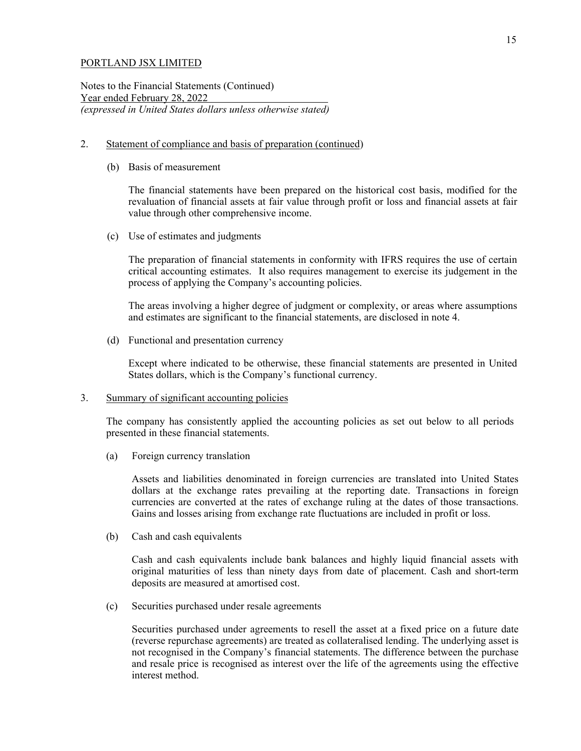Notes to the Financial Statements (Continued) Year ended February 28, 2022 *(expressed in United States dollars unless otherwise stated)* 

- 2. Statement of compliance and basis of preparation (continued)
	- (b) Basis of measurement

The financial statements have been prepared on the historical cost basis, modified for the revaluation of financial assets at fair value through profit or loss and financial assets at fair value through other comprehensive income.

(c) Use of estimates and judgments

The preparation of financial statements in conformity with IFRS requires the use of certain critical accounting estimates. It also requires management to exercise its judgement in the process of applying the Company's accounting policies.

The areas involving a higher degree of judgment or complexity, or areas where assumptions and estimates are significant to the financial statements, are disclosed in note 4.

(d) Functional and presentation currency

Except where indicated to be otherwise, these financial statements are presented in United States dollars, which is the Company's functional currency.

#### 3. Summary of significant accounting policies

The company has consistently applied the accounting policies as set out below to all periods presented in these financial statements.

(a) Foreign currency translation

Assets and liabilities denominated in foreign currencies are translated into United States dollars at the exchange rates prevailing at the reporting date. Transactions in foreign currencies are converted at the rates of exchange ruling at the dates of those transactions. Gains and losses arising from exchange rate fluctuations are included in profit or loss.

(b) Cash and cash equivalents

 Cash and cash equivalents include bank balances and highly liquid financial assets with original maturities of less than ninety days from date of placement. Cash and short-term deposits are measured at amortised cost.

(c) Securities purchased under resale agreements

Securities purchased under agreements to resell the asset at a fixed price on a future date (reverse repurchase agreements) are treated as collateralised lending. The underlying asset is not recognised in the Company's financial statements. The difference between the purchase and resale price is recognised as interest over the life of the agreements using the effective interest method.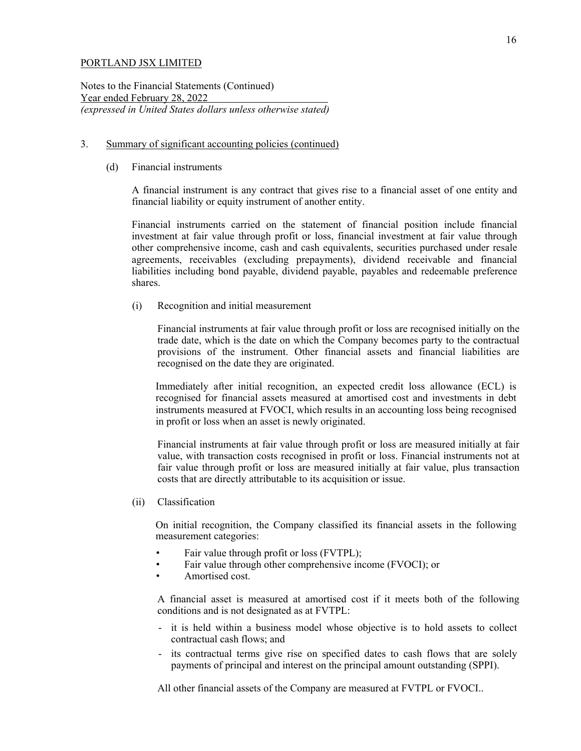Notes to the Financial Statements (Continued) Year ended February 28, 2022 *(expressed in United States dollars unless otherwise stated)* 

#### 3. Summary of significant accounting policies (continued)

#### (d) Financial instruments

A financial instrument is any contract that gives rise to a financial asset of one entity and financial liability or equity instrument of another entity.

Financial instruments carried on the statement of financial position include financial investment at fair value through profit or loss, financial investment at fair value through other comprehensive income, cash and cash equivalents, securities purchased under resale agreements, receivables (excluding prepayments), dividend receivable and financial liabilities including bond payable, dividend payable, payables and redeemable preference shares.

(i) Recognition and initial measurement

Financial instruments at fair value through profit or loss are recognised initially on the trade date, which is the date on which the Company becomes party to the contractual provisions of the instrument. Other financial assets and financial liabilities are recognised on the date they are originated.

Immediately after initial recognition, an expected credit loss allowance (ECL) is recognised for financial assets measured at amortised cost and investments in debt instruments measured at FVOCI, which results in an accounting loss being recognised in profit or loss when an asset is newly originated.

Financial instruments at fair value through profit or loss are measured initially at fair value, with transaction costs recognised in profit or loss. Financial instruments not at fair value through profit or loss are measured initially at fair value, plus transaction costs that are directly attributable to its acquisition or issue.

(ii) Classification

On initial recognition, the Company classified its financial assets in the following measurement categories:

- Fair value through profit or loss (FVTPL);
- Fair value through other comprehensive income (FVOCI); or
- Amortised cost.

A financial asset is measured at amortised cost if it meets both of the following conditions and is not designated as at FVTPL:

- it is held within a business model whose objective is to hold assets to collect contractual cash flows; and
- its contractual terms give rise on specified dates to cash flows that are solely payments of principal and interest on the principal amount outstanding (SPPI).

All other financial assets of the Company are measured at FVTPL or FVOCI..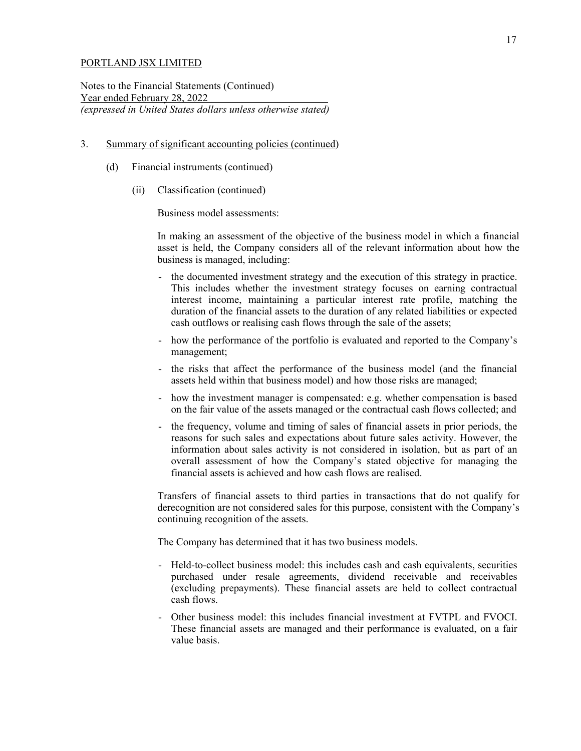Notes to the Financial Statements (Continued) Year ended February 28, 2022 *(expressed in United States dollars unless otherwise stated)* 

- 3. Summary of significant accounting policies (continued)
	- (d) Financial instruments (continued)
		- (ii) Classification (continued)

Business model assessments:

In making an assessment of the objective of the business model in which a financial asset is held, the Company considers all of the relevant information about how the business is managed, including:

- the documented investment strategy and the execution of this strategy in practice. This includes whether the investment strategy focuses on earning contractual interest income, maintaining a particular interest rate profile, matching the duration of the financial assets to the duration of any related liabilities or expected cash outflows or realising cash flows through the sale of the assets;
- how the performance of the portfolio is evaluated and reported to the Company's management;
- the risks that affect the performance of the business model (and the financial assets held within that business model) and how those risks are managed;
- how the investment manager is compensated: e.g. whether compensation is based on the fair value of the assets managed or the contractual cash flows collected; and
- the frequency, volume and timing of sales of financial assets in prior periods, the reasons for such sales and expectations about future sales activity. However, the information about sales activity is not considered in isolation, but as part of an overall assessment of how the Company's stated objective for managing the financial assets is achieved and how cash flows are realised.

Transfers of financial assets to third parties in transactions that do not qualify for derecognition are not considered sales for this purpose, consistent with the Company's continuing recognition of the assets.

The Company has determined that it has two business models.

- Held-to-collect business model: this includes cash and cash equivalents, securities purchased under resale agreements, dividend receivable and receivables (excluding prepayments). These financial assets are held to collect contractual cash flows.
- Other business model: this includes financial investment at FVTPL and FVOCI. These financial assets are managed and their performance is evaluated, on a fair value basis.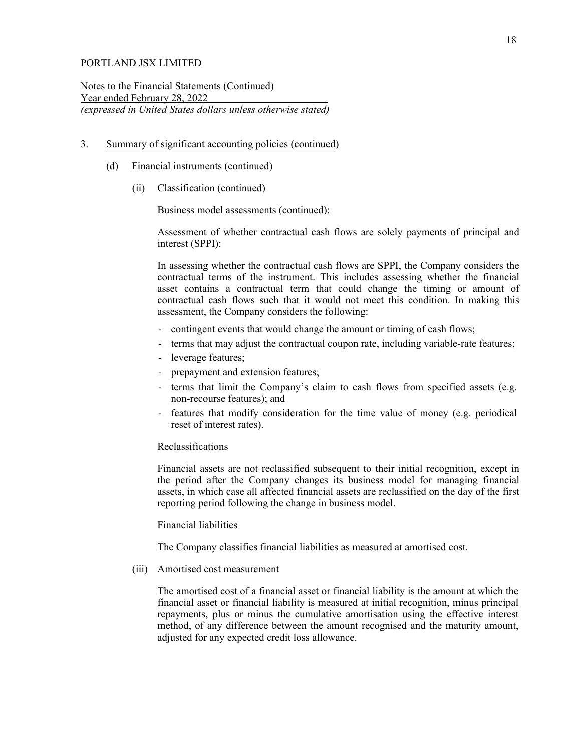Notes to the Financial Statements (Continued) Year ended February 28, 2022 *(expressed in United States dollars unless otherwise stated)* 

- 3. Summary of significant accounting policies (continued)
	- (d) Financial instruments (continued)
		- (ii) Classification (continued)

Business model assessments (continued):

Assessment of whether contractual cash flows are solely payments of principal and interest (SPPI):

In assessing whether the contractual cash flows are SPPI, the Company considers the contractual terms of the instrument. This includes assessing whether the financial asset contains a contractual term that could change the timing or amount of contractual cash flows such that it would not meet this condition. In making this assessment, the Company considers the following:

- contingent events that would change the amount or timing of cash flows;
- terms that may adjust the contractual coupon rate, including variable-rate features;
- leverage features;
- prepayment and extension features;
- terms that limit the Company's claim to cash flows from specified assets (e.g. non-recourse features); and
- features that modify consideration for the time value of money (e.g. periodical reset of interest rates).

#### Reclassifications

Financial assets are not reclassified subsequent to their initial recognition, except in the period after the Company changes its business model for managing financial assets, in which case all affected financial assets are reclassified on the day of the first reporting period following the change in business model.

#### Financial liabilities

The Company classifies financial liabilities as measured at amortised cost.

(iii) Amortised cost measurement

The amortised cost of a financial asset or financial liability is the amount at which the financial asset or financial liability is measured at initial recognition, minus principal repayments, plus or minus the cumulative amortisation using the effective interest method, of any difference between the amount recognised and the maturity amount, adjusted for any expected credit loss allowance.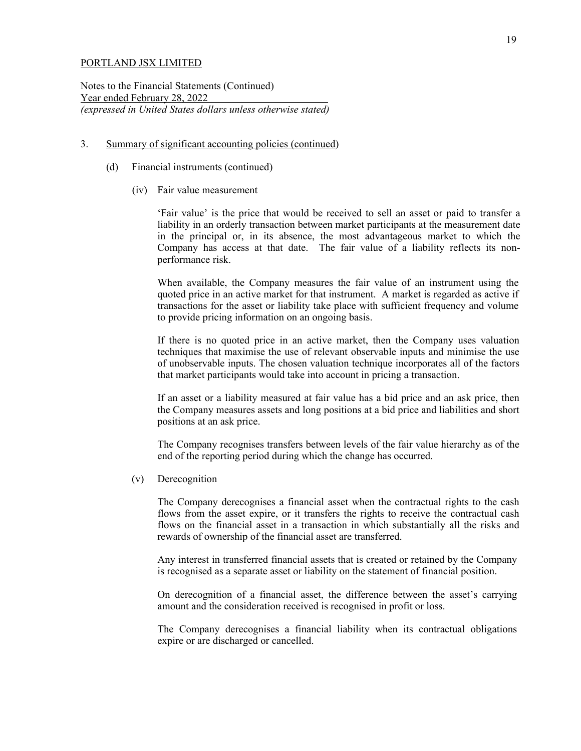Notes to the Financial Statements (Continued) Year ended February 28, 2022 *(expressed in United States dollars unless otherwise stated)* 

- 3. Summary of significant accounting policies (continued)
	- (d) Financial instruments (continued)
		- (iv) Fair value measurement

'Fair value' is the price that would be received to sell an asset or paid to transfer a liability in an orderly transaction between market participants at the measurement date in the principal or, in its absence, the most advantageous market to which the Company has access at that date. The fair value of a liability reflects its nonperformance risk.

When available, the Company measures the fair value of an instrument using the quoted price in an active market for that instrument. A market is regarded as active if transactions for the asset or liability take place with sufficient frequency and volume to provide pricing information on an ongoing basis.

If there is no quoted price in an active market, then the Company uses valuation techniques that maximise the use of relevant observable inputs and minimise the use of unobservable inputs. The chosen valuation technique incorporates all of the factors that market participants would take into account in pricing a transaction.

If an asset or a liability measured at fair value has a bid price and an ask price, then the Company measures assets and long positions at a bid price and liabilities and short positions at an ask price.

The Company recognises transfers between levels of the fair value hierarchy as of the end of the reporting period during which the change has occurred.

(v) Derecognition

The Company derecognises a financial asset when the contractual rights to the cash flows from the asset expire, or it transfers the rights to receive the contractual cash flows on the financial asset in a transaction in which substantially all the risks and rewards of ownership of the financial asset are transferred.

Any interest in transferred financial assets that is created or retained by the Company is recognised as a separate asset or liability on the statement of financial position.

On derecognition of a financial asset, the difference between the asset's carrying amount and the consideration received is recognised in profit or loss.

The Company derecognises a financial liability when its contractual obligations expire or are discharged or cancelled.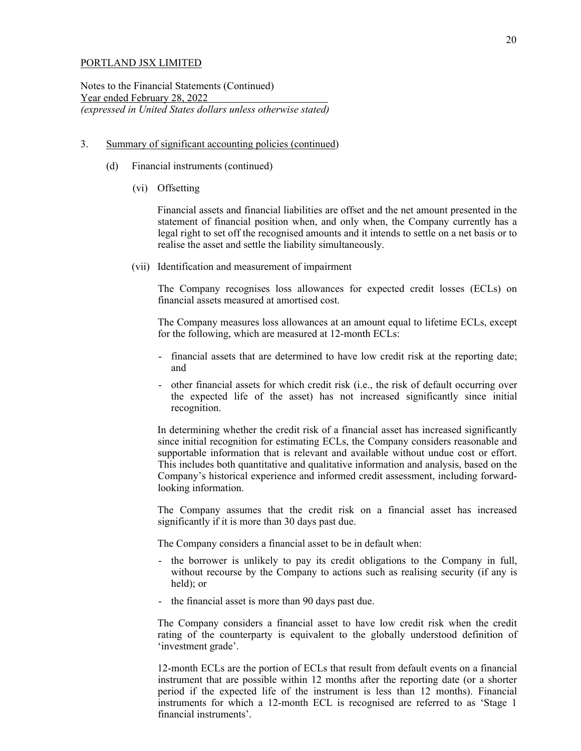Notes to the Financial Statements (Continued) Year ended February 28, 2022 *(expressed in United States dollars unless otherwise stated)* 

- 3. Summary of significant accounting policies (continued)
	- (d) Financial instruments (continued)
		- (vi) Offsetting

Financial assets and financial liabilities are offset and the net amount presented in the statement of financial position when, and only when, the Company currently has a legal right to set off the recognised amounts and it intends to settle on a net basis or to realise the asset and settle the liability simultaneously.

(vii) Identification and measurement of impairment

 The Company recognises loss allowances for expected credit losses (ECLs) on financial assets measured at amortised cost.

 The Company measures loss allowances at an amount equal to lifetime ECLs, except for the following, which are measured at 12-month ECLs:

- financial assets that are determined to have low credit risk at the reporting date; and
- other financial assets for which credit risk (i.e., the risk of default occurring over the expected life of the asset) has not increased significantly since initial recognition.

In determining whether the credit risk of a financial asset has increased significantly since initial recognition for estimating ECLs, the Company considers reasonable and supportable information that is relevant and available without undue cost or effort. This includes both quantitative and qualitative information and analysis, based on the Company's historical experience and informed credit assessment, including forwardlooking information.

The Company assumes that the credit risk on a financial asset has increased significantly if it is more than 30 days past due.

The Company considers a financial asset to be in default when:

- the borrower is unlikely to pay its credit obligations to the Company in full, without recourse by the Company to actions such as realising security (if any is held); or
- the financial asset is more than 90 days past due.

The Company considers a financial asset to have low credit risk when the credit rating of the counterparty is equivalent to the globally understood definition of 'investment grade'.

12-month ECLs are the portion of ECLs that result from default events on a financial instrument that are possible within 12 months after the reporting date (or a shorter period if the expected life of the instrument is less than 12 months). Financial instruments for which a 12-month ECL is recognised are referred to as 'Stage 1 financial instruments'.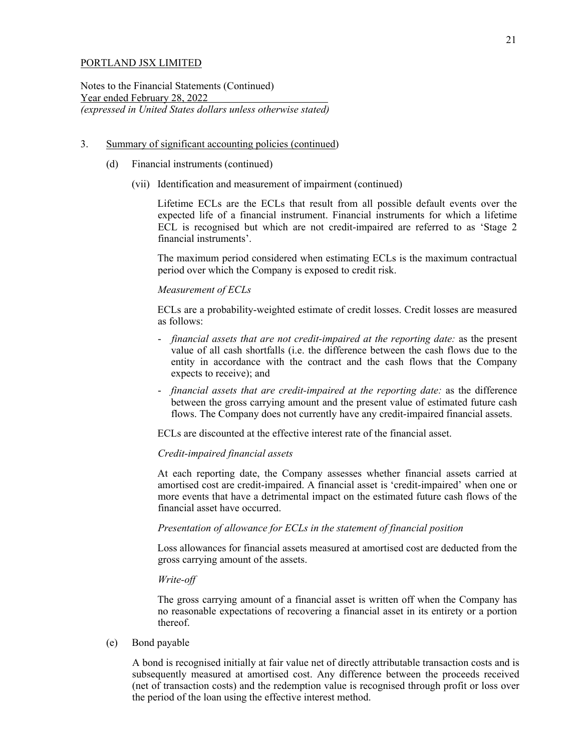Notes to the Financial Statements (Continued) Year ended February 28, 2022 *(expressed in United States dollars unless otherwise stated)* 

- 3. Summary of significant accounting policies (continued)
	- (d) Financial instruments (continued)
		- (vii) Identification and measurement of impairment (continued)

Lifetime ECLs are the ECLs that result from all possible default events over the expected life of a financial instrument. Financial instruments for which a lifetime ECL is recognised but which are not credit-impaired are referred to as 'Stage 2 financial instruments'.

The maximum period considered when estimating ECLs is the maximum contractual period over which the Company is exposed to credit risk.

#### *Measurement of ECLs*

ECLs are a probability-weighted estimate of credit losses. Credit losses are measured as follows:

- *financial assets that are not credit-impaired at the reporting date:* as the present value of all cash shortfalls (i.e. the difference between the cash flows due to the entity in accordance with the contract and the cash flows that the Company expects to receive); and
- *financial assets that are credit-impaired at the reporting date:* as the difference between the gross carrying amount and the present value of estimated future cash flows. The Company does not currently have any credit-impaired financial assets.

ECLs are discounted at the effective interest rate of the financial asset.

#### *Credit-impaired financial assets*

At each reporting date, the Company assesses whether financial assets carried at amortised cost are credit-impaired. A financial asset is 'credit-impaired' when one or more events that have a detrimental impact on the estimated future cash flows of the financial asset have occurred.

#### *Presentation of allowance for ECLs in the statement of financial position*

Loss allowances for financial assets measured at amortised cost are deducted from the gross carrying amount of the assets.

#### *Write-off*

The gross carrying amount of a financial asset is written off when the Company has no reasonable expectations of recovering a financial asset in its entirety or a portion thereof.

#### (e) Bond payable

A bond is recognised initially at fair value net of directly attributable transaction costs and is subsequently measured at amortised cost. Any difference between the proceeds received (net of transaction costs) and the redemption value is recognised through profit or loss over the period of the loan using the effective interest method.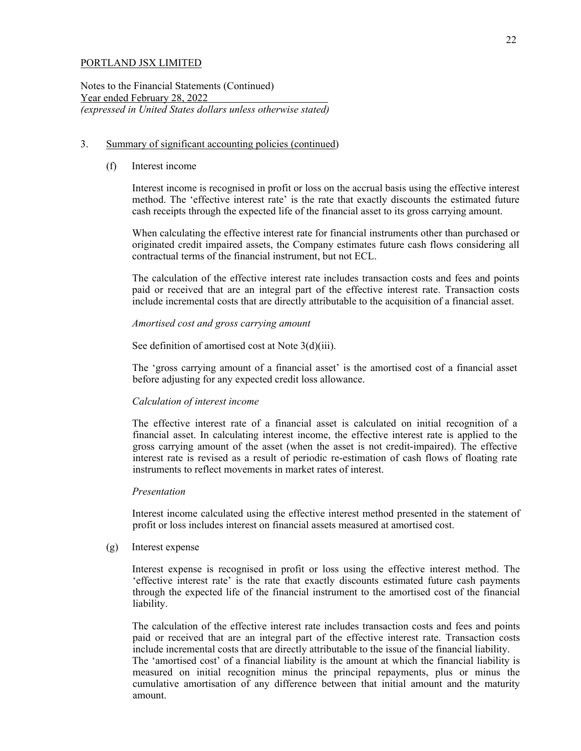Notes to the Financial Statements (Continued) Year ended February 28, 2022 *(expressed in United States dollars unless otherwise stated)* 

#### 3. Summary of significant accounting policies (continued)

#### (f) Interest income

Interest income is recognised in profit or loss on the accrual basis using the effective interest method. The 'effective interest rate' is the rate that exactly discounts the estimated future cash receipts through the expected life of the financial asset to its gross carrying amount.

When calculating the effective interest rate for financial instruments other than purchased or originated credit impaired assets, the Company estimates future cash flows considering all contractual terms of the financial instrument, but not ECL.

The calculation of the effective interest rate includes transaction costs and fees and points paid or received that are an integral part of the effective interest rate. Transaction costs include incremental costs that are directly attributable to the acquisition of a financial asset.

#### *Amortised cost and gross carrying amount*

See definition of amortised cost at Note 3(d)(iii).

The 'gross carrying amount of a financial asset' is the amortised cost of a financial asset before adjusting for any expected credit loss allowance.

### *Calculation of interest income*

The effective interest rate of a financial asset is calculated on initial recognition of a financial asset. In calculating interest income, the effective interest rate is applied to the gross carrying amount of the asset (when the asset is not credit-impaired). The effective interest rate is revised as a result of periodic re-estimation of cash flows of floating rate instruments to reflect movements in market rates of interest.

#### *Presentation*

Interest income calculated using the effective interest method presented in the statement of profit or loss includes interest on financial assets measured at amortised cost.

(g) Interest expense

Interest expense is recognised in profit or loss using the effective interest method. The 'effective interest rate' is the rate that exactly discounts estimated future cash payments through the expected life of the financial instrument to the amortised cost of the financial liability.

The calculation of the effective interest rate includes transaction costs and fees and points paid or received that are an integral part of the effective interest rate. Transaction costs include incremental costs that are directly attributable to the issue of the financial liability. The 'amortised cost' of a financial liability is the amount at which the financial liability is measured on initial recognition minus the principal repayments, plus or minus the cumulative amortisation of any difference between that initial amount and the maturity amount.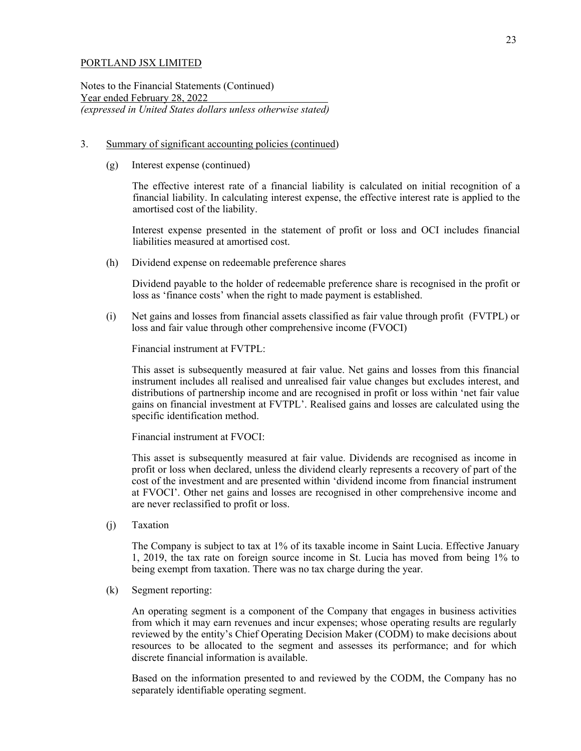Notes to the Financial Statements (Continued) Year ended February 28, 2022 *(expressed in United States dollars unless otherwise stated)* 

- 3. Summary of significant accounting policies (continued)
	- (g) Interest expense (continued)

The effective interest rate of a financial liability is calculated on initial recognition of a financial liability. In calculating interest expense, the effective interest rate is applied to the amortised cost of the liability.

Interest expense presented in the statement of profit or loss and OCI includes financial liabilities measured at amortised cost.

(h) Dividend expense on redeemable preference shares

Dividend payable to the holder of redeemable preference share is recognised in the profit or loss as 'finance costs' when the right to made payment is established.

(i) Net gains and losses from financial assets classified as fair value through profit (FVTPL) or loss and fair value through other comprehensive income (FVOCI)

Financial instrument at FVTPL:

 This asset is subsequently measured at fair value. Net gains and losses from this financial instrument includes all realised and unrealised fair value changes but excludes interest, and distributions of partnership income and are recognised in profit or loss within 'net fair value gains on financial investment at FVTPL'. Realised gains and losses are calculated using the specific identification method.

Financial instrument at FVOCI:

This asset is subsequently measured at fair value. Dividends are recognised as income in profit or loss when declared, unless the dividend clearly represents a recovery of part of the cost of the investment and are presented within 'dividend income from financial instrument at FVOCI'. Other net gains and losses are recognised in other comprehensive income and are never reclassified to profit or loss.

(j) Taxation

The Company is subject to tax at 1% of its taxable income in Saint Lucia. Effective January 1, 2019, the tax rate on foreign source income in St. Lucia has moved from being 1% to being exempt from taxation. There was no tax charge during the year.

(k) Segment reporting:

 An operating segment is a component of the Company that engages in business activities from which it may earn revenues and incur expenses; whose operating results are regularly reviewed by the entity's Chief Operating Decision Maker (CODM) to make decisions about resources to be allocated to the segment and assesses its performance; and for which discrete financial information is available.

 Based on the information presented to and reviewed by the CODM, the Company has no separately identifiable operating segment.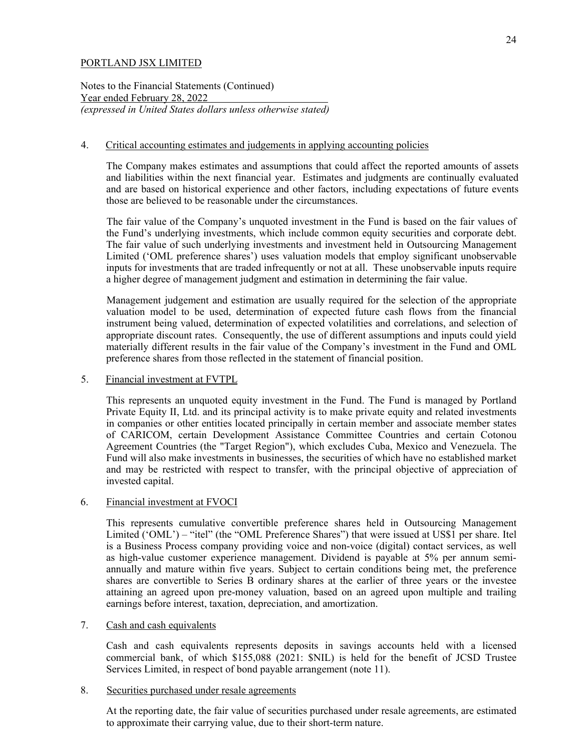Notes to the Financial Statements (Continued) Year ended February 28, 2022 *(expressed in United States dollars unless otherwise stated)* 

### 4. Critical accounting estimates and judgements in applying accounting policies

The Company makes estimates and assumptions that could affect the reported amounts of assets and liabilities within the next financial year. Estimates and judgments are continually evaluated and are based on historical experience and other factors, including expectations of future events those are believed to be reasonable under the circumstances.

The fair value of the Company's unquoted investment in the Fund is based on the fair values of the Fund's underlying investments, which include common equity securities and corporate debt. The fair value of such underlying investments and investment held in Outsourcing Management Limited ('OML preference shares') uses valuation models that employ significant unobservable inputs for investments that are traded infrequently or not at all. These unobservable inputs require a higher degree of management judgment and estimation in determining the fair value.

Management judgement and estimation are usually required for the selection of the appropriate valuation model to be used, determination of expected future cash flows from the financial instrument being valued, determination of expected volatilities and correlations, and selection of appropriate discount rates. Consequently, the use of different assumptions and inputs could yield materially different results in the fair value of the Company's investment in the Fund and OML preference shares from those reflected in the statement of financial position.

### 5. Financial investment at FVTPL

This represents an unquoted equity investment in the Fund. The Fund is managed by Portland Private Equity II, Ltd. and its principal activity is to make private equity and related investments in companies or other entities located principally in certain member and associate member states of CARICOM, certain Development Assistance Committee Countries and certain Cotonou Agreement Countries (the "Target Region"), which excludes Cuba, Mexico and Venezuela. The Fund will also make investments in businesses, the securities of which have no established market and may be restricted with respect to transfer, with the principal objective of appreciation of invested capital.

### 6. Financial investment at FVOCI

This represents cumulative convertible preference shares held in Outsourcing Management Limited ('OML') – "itel" (the "OML Preference Shares") that were issued at US\$1 per share. Itel is a Business Process company providing voice and non-voice (digital) contact services, as well as high-value customer experience management. Dividend is payable at 5% per annum semiannually and mature within five years. Subject to certain conditions being met, the preference shares are convertible to Series B ordinary shares at the earlier of three years or the investee attaining an agreed upon pre-money valuation, based on an agreed upon multiple and trailing earnings before interest, taxation, depreciation, and amortization.

### 7. Cash and cash equivalents

Cash and cash equivalents represents deposits in savings accounts held with a licensed commercial bank, of which \$155,088 (2021: \$NIL) is held for the benefit of JCSD Trustee Services Limited, in respect of bond payable arrangement (note 11).

#### 8. Securities purchased under resale agreements

At the reporting date, the fair value of securities purchased under resale agreements, are estimated to approximate their carrying value, due to their short-term nature.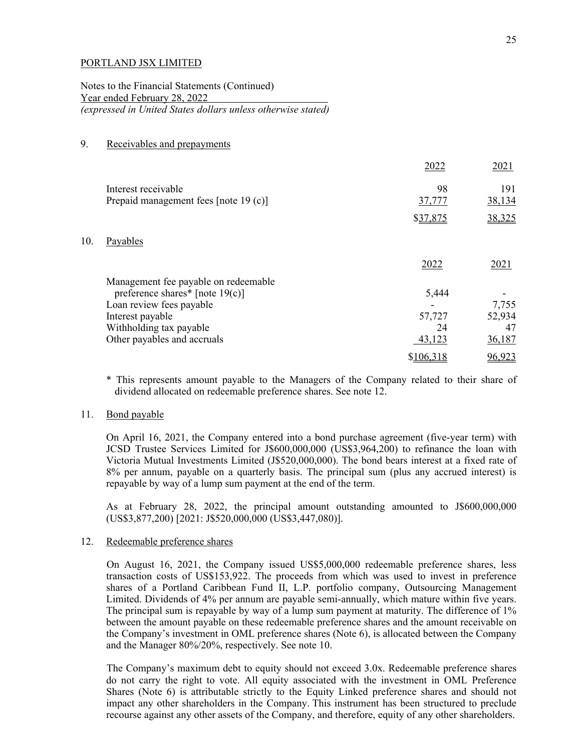Notes to the Financial Statements (Continued) Year ended February 28, 2022 *(expressed in United States dollars unless otherwise stated)* 

#### 9. Receivables and prepayments

|     |                                       | 2022      | 2021   |
|-----|---------------------------------------|-----------|--------|
|     | Interest receivable                   | 98        | 191    |
|     | Prepaid management fees [note 19 (c)] | 37,777    | 38,134 |
|     |                                       | \$37,875  | 38,325 |
| 10. | Payables                              |           |        |
|     |                                       | 2022      | 2021   |
|     | Management fee payable on redeemable  |           |        |
|     | preference shares* [note $19(c)$ ]    | 5,444     |        |
|     | Loan review fees payable              |           | 7,755  |
|     | Interest payable                      | 57,727    | 52,934 |
|     | Withholding tax payable               | 24        | 47     |
|     | Other payables and accruals           | 43,123    | 36,187 |
|     |                                       | \$106,318 | 96,923 |

\* This represents amount payable to the Managers of the Company related to their share of dividend allocated on redeemable preference shares. See note 12.

### 11. Bond payable

 $10.$ 

On April 16, 2021, the Company entered into a bond purchase agreement (five-year term) with JCSD Trustee Services Limited for J\$600,000,000 (US\$3,964,200) to refinance the loan with Victoria Mutual Investments Limited (J\$520,000,000). The bond bears interest at a fixed rate of 8% per annum, payable on a quarterly basis. The principal sum (plus any accrued interest) is repayable by way of a lump sum payment at the end of the term.

As at February 28, 2022, the principal amount outstanding amounted to J\$600,000,000 (US\$3,877,200) [2021: J\$520,000,000 (US\$3,447,080)].

#### 12. Redeemable preference shares

On August 16, 2021, the Company issued US\$5,000,000 redeemable preference shares, less transaction costs of US\$153,922. The proceeds from which was used to invest in preference shares of a Portland Caribbean Fund II, L.P. portfolio company, Outsourcing Management Limited. Dividends of 4% per annum are payable semi-annually, which mature within five years. The principal sum is repayable by way of a lump sum payment at maturity. The difference of 1% between the amount payable on these redeemable preference shares and the amount receivable on the Company's investment in OML preference shares (Note 6), is allocated between the Company and the Manager 80%/20%, respectively. See note 10.

The Company's maximum debt to equity should not exceed 3.0x. Redeemable preference shares do not carry the right to vote. All equity associated with the investment in OML Preference Shares (Note 6) is attributable strictly to the Equity Linked preference shares and should not impact any other shareholders in the Company. This instrument has been structured to preclude recourse against any other assets of the Company, and therefore, equity of any other shareholders.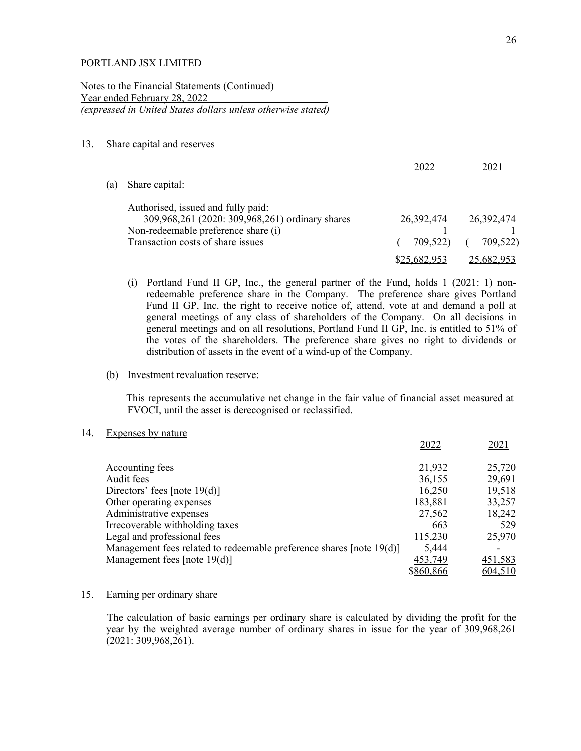Notes to the Financial Statements (Continued) Year ended February 28, 2022 *(expressed in United States dollars unless otherwise stated)* 

#### 13. Share capital and reserves

|     |                                                 | 2022         | 2021       |
|-----|-------------------------------------------------|--------------|------------|
| (a) | Share capital:                                  |              |            |
|     | Authorised, issued and fully paid:              |              |            |
|     | 309,968,261 (2020: 309,968,261) ordinary shares | 26,392,474   | 26,392,474 |
|     | Non-redeemable preference share (i)             |              |            |
|     | Transaction costs of share issues               | 709,522)     | 709,522)   |
|     |                                                 | \$25,682,953 | 25.682.953 |

- (i) Portland Fund II GP, Inc., the general partner of the Fund, holds 1 (2021: 1) nonredeemable preference share in the Company. The preference share gives Portland Fund II GP, Inc. the right to receive notice of, attend, vote at and demand a poll at general meetings of any class of shareholders of the Company. On all decisions in general meetings and on all resolutions, Portland Fund II GP, Inc. is entitled to 51% of the votes of the shareholders. The preference share gives no right to dividends or distribution of assets in the event of a wind-up of the Company.
- (b) Investment revaluation reserve:

This represents the accumulative net change in the fair value of financial asset measured at FVOCI, until the asset is derecognised or reclassified.

#### 14. Expenses by nature

|                                                                      | 2022      | 2021    |
|----------------------------------------------------------------------|-----------|---------|
| Accounting fees                                                      | 21,932    | 25,720  |
| Audit fees                                                           | 36,155    | 29,691  |
| Directors' fees [note $19(d)$ ]                                      | 16,250    | 19,518  |
| Other operating expenses                                             | 183,881   | 33,257  |
| Administrative expenses                                              | 27,562    | 18,242  |
| Irrecoverable withholding taxes                                      | 663       | 529     |
| Legal and professional fees                                          | 115,230   | 25,970  |
| Management fees related to redeemable preference shares [note 19(d)] | 5,444     |         |
| Management fees $[note 19(d)]$                                       | 453,749   | 451,583 |
|                                                                      | \$860,866 | 604,510 |

15. Earning per ordinary share

The calculation of basic earnings per ordinary share is calculated by dividing the profit for the year by the weighted average number of ordinary shares in issue for the year of 309,968,261 (2021: 309,968,261).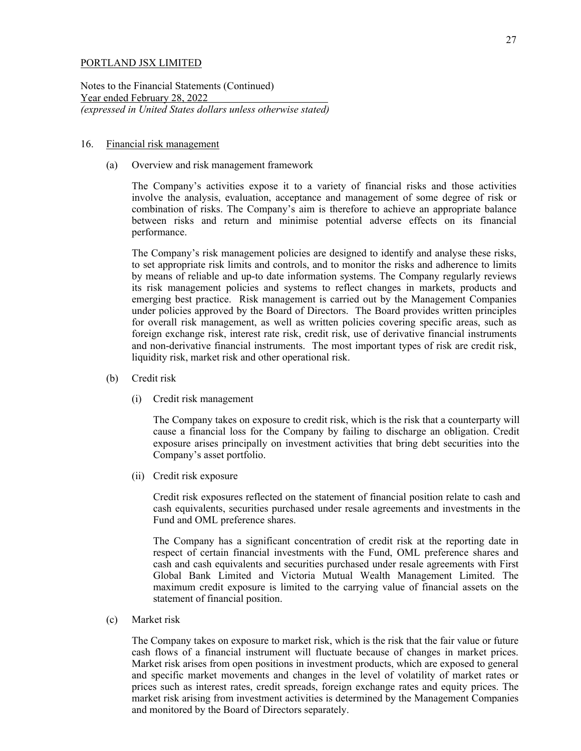Notes to the Financial Statements (Continued) Year ended February 28, 2022 *(expressed in United States dollars unless otherwise stated)* 

#### 16. Financial risk management

(a) Overview and risk management framework

 The Company's activities expose it to a variety of financial risks and those activities involve the analysis, evaluation, acceptance and management of some degree of risk or combination of risks. The Company's aim is therefore to achieve an appropriate balance between risks and return and minimise potential adverse effects on its financial performance.

The Company's risk management policies are designed to identify and analyse these risks, to set appropriate risk limits and controls, and to monitor the risks and adherence to limits by means of reliable and up-to date information systems. The Company regularly reviews its risk management policies and systems to reflect changes in markets, products and emerging best practice. Risk management is carried out by the Management Companies under policies approved by the Board of Directors. The Board provides written principles for overall risk management, as well as written policies covering specific areas, such as foreign exchange risk, interest rate risk, credit risk, use of derivative financial instruments and non-derivative financial instruments. The most important types of risk are credit risk, liquidity risk, market risk and other operational risk.

- (b) Credit risk
	- (i) Credit risk management

The Company takes on exposure to credit risk, which is the risk that a counterparty will cause a financial loss for the Company by failing to discharge an obligation. Credit exposure arises principally on investment activities that bring debt securities into the Company's asset portfolio.

(ii) Credit risk exposure

Credit risk exposures reflected on the statement of financial position relate to cash and cash equivalents, securities purchased under resale agreements and investments in the Fund and OML preference shares.

The Company has a significant concentration of credit risk at the reporting date in respect of certain financial investments with the Fund, OML preference shares and cash and cash equivalents and securities purchased under resale agreements with First Global Bank Limited and Victoria Mutual Wealth Management Limited. The maximum credit exposure is limited to the carrying value of financial assets on the statement of financial position.

(c) Market risk

The Company takes on exposure to market risk, which is the risk that the fair value or future cash flows of a financial instrument will fluctuate because of changes in market prices. Market risk arises from open positions in investment products, which are exposed to general and specific market movements and changes in the level of volatility of market rates or prices such as interest rates, credit spreads, foreign exchange rates and equity prices. The market risk arising from investment activities is determined by the Management Companies and monitored by the Board of Directors separately.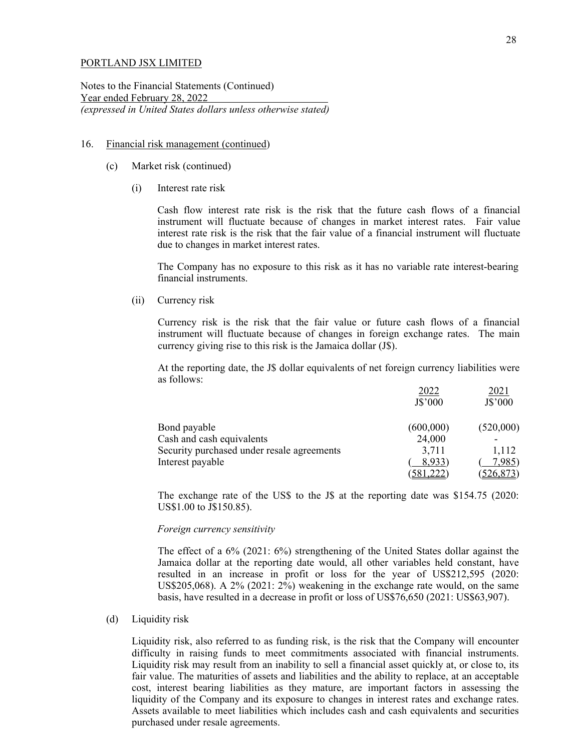Notes to the Financial Statements (Continued) Year ended February 28, 2022 *(expressed in United States dollars unless otherwise stated)* 

#### 16. Financial risk management (continued)

- (c) Market risk (continued)
	- (i) Interest rate risk

Cash flow interest rate risk is the risk that the future cash flows of a financial instrument will fluctuate because of changes in market interest rates. Fair value interest rate risk is the risk that the fair value of a financial instrument will fluctuate due to changes in market interest rates.

The Company has no exposure to this risk as it has no variable rate interest-bearing financial instruments.

(ii) Currency risk

Currency risk is the risk that the fair value or future cash flows of a financial instrument will fluctuate because of changes in foreign exchange rates. The main currency giving rise to this risk is the Jamaica dollar (J\$).

At the reporting date, the J\$ dollar equivalents of net foreign currency liabilities were as follows:

|                                            | 2022      | 2021           |
|--------------------------------------------|-----------|----------------|
|                                            | J\$'000   | J\$'000        |
| Bond payable                               | (600,000) | (520,000)      |
| Cash and cash equivalents                  | 24,000    |                |
| Security purchased under resale agreements | 3.711     | 1,112          |
| Interest payable                           | 8,933     | 7,985)         |
|                                            |           | <u>526,873</u> |

The exchange rate of the US\$ to the J\$ at the reporting date was \$154.75 (2020: US\$1.00 to J\$150.85).

#### *Foreign currency sensitivity*

The effect of a 6% (2021: 6%) strengthening of the United States dollar against the Jamaica dollar at the reporting date would, all other variables held constant, have resulted in an increase in profit or loss for the year of US\$212,595 (2020: US\$205,068). A 2% (2021: 2%) weakening in the exchange rate would, on the same basis, have resulted in a decrease in profit or loss of US\$76,650 (2021: US\$63,907).

(d) Liquidity risk

Liquidity risk, also referred to as funding risk, is the risk that the Company will encounter difficulty in raising funds to meet commitments associated with financial instruments. Liquidity risk may result from an inability to sell a financial asset quickly at, or close to, its fair value. The maturities of assets and liabilities and the ability to replace, at an acceptable cost, interest bearing liabilities as they mature, are important factors in assessing the liquidity of the Company and its exposure to changes in interest rates and exchange rates. Assets available to meet liabilities which includes cash and cash equivalents and securities purchased under resale agreements.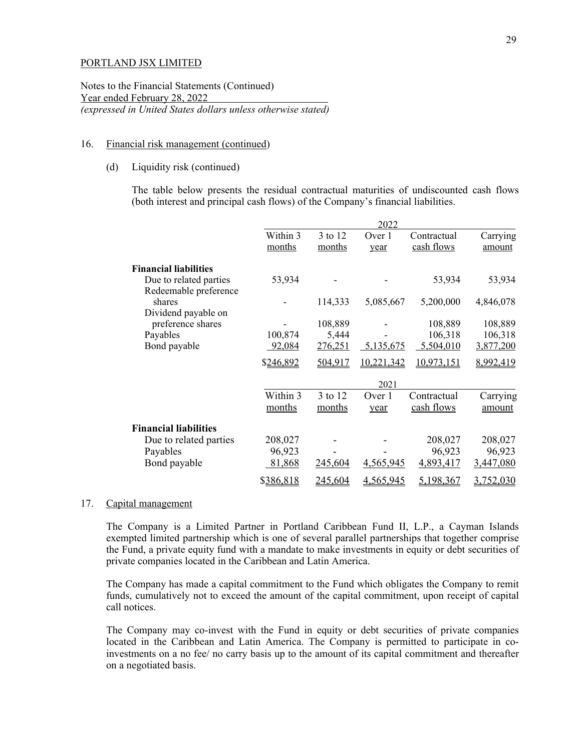Notes to the Financial Statements (Continued) Year ended February 28, 2022 *(expressed in United States dollars unless otherwise stated)* 

#### 16. Financial risk management (continued)

#### (d) Liquidity risk (continued)

The table below presents the residual contractual maturities of undiscounted cash flows (both interest and principal cash flows) of the Company's financial liabilities.

|                              |           |         | 2022       |             |           |
|------------------------------|-----------|---------|------------|-------------|-----------|
|                              | Within 3  | 3 to 12 | Over 1     | Contractual | Carrying  |
|                              | months    | months  | year       | cash flows  | amount    |
| <b>Financial liabilities</b> |           |         |            |             |           |
| Due to related parties       | 53,934    |         |            | 53,934      | 53,934    |
| Redeemable preference        |           |         |            |             |           |
| shares                       |           | 114,333 | 5,085,667  | 5,200,000   | 4,846,078 |
| Dividend payable on          |           |         |            |             |           |
| preference shares            |           | 108,889 |            | 108,889     | 108,889   |
| Payables                     | 100,874   | 5,444   |            | 106,318     | 106,318   |
| Bond payable                 | 92,084    | 276,251 | 5,135,675  | 5,504,010   | 3,877,200 |
|                              | \$246,892 | 504,917 | 10,221,342 | 10,973,151  | 8,992,419 |
|                              |           |         | 2021       |             |           |
|                              | Within 3  | 3 to 12 | Over 1     | Contractual | Carrying  |
|                              | months    | months  | year       | cash flows  | amount    |
| <b>Financial liabilities</b> |           |         |            |             |           |
| Due to related parties       | 208,027   |         |            | 208,027     | 208,027   |
| Payables                     | 96,923    |         |            | 96,923      | 96,923    |
| Bond payable                 | 81,868    | 245,604 | 4,565,945  | 4,893,417   | 3,447,080 |
|                              | \$386,818 | 245,604 | 4,565,945  | 5,198,367   | 3,752,030 |

#### 17. Capital management

The Company is a Limited Partner in Portland Caribbean Fund II, L.P., a Cayman Islands exempted limited partnership which is one of several parallel partnerships that together comprise the Fund, a private equity fund with a mandate to make investments in equity or debt securities of private companies located in the Caribbean and Latin America.

The Company has made a capital commitment to the Fund which obligates the Company to remit funds, cumulatively not to exceed the amount of the capital commitment, upon receipt of capital call notices.

The Company may co-invest with the Fund in equity or debt securities of private companies located in the Caribbean and Latin America. The Company is permitted to participate in coinvestments on a no fee/ no carry basis up to the amount of its capital commitment and thereafter on a negotiated basis.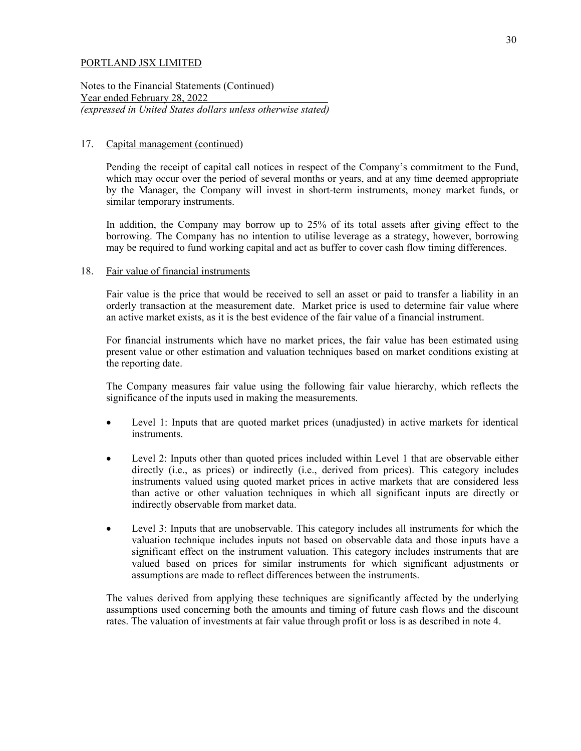Notes to the Financial Statements (Continued) Year ended February 28, 2022 *(expressed in United States dollars unless otherwise stated)* 

### 17. Capital management (continued)

Pending the receipt of capital call notices in respect of the Company's commitment to the Fund, which may occur over the period of several months or years, and at any time deemed appropriate by the Manager, the Company will invest in short-term instruments, money market funds, or similar temporary instruments.

In addition, the Company may borrow up to 25% of its total assets after giving effect to the borrowing. The Company has no intention to utilise leverage as a strategy, however, borrowing may be required to fund working capital and act as buffer to cover cash flow timing differences.

### 18. Fair value of financial instruments

Fair value is the price that would be received to sell an asset or paid to transfer a liability in an orderly transaction at the measurement date. Market price is used to determine fair value where an active market exists, as it is the best evidence of the fair value of a financial instrument.

 For financial instruments which have no market prices, the fair value has been estimated using present value or other estimation and valuation techniques based on market conditions existing at the reporting date.

The Company measures fair value using the following fair value hierarchy, which reflects the significance of the inputs used in making the measurements.

- Level 1: Inputs that are quoted market prices (unadjusted) in active markets for identical instruments.
- Level 2: Inputs other than quoted prices included within Level 1 that are observable either directly (i.e., as prices) or indirectly (i.e., derived from prices). This category includes instruments valued using quoted market prices in active markets that are considered less than active or other valuation techniques in which all significant inputs are directly or indirectly observable from market data.
- Level 3: Inputs that are unobservable. This category includes all instruments for which the valuation technique includes inputs not based on observable data and those inputs have a significant effect on the instrument valuation. This category includes instruments that are valued based on prices for similar instruments for which significant adjustments or assumptions are made to reflect differences between the instruments.

The values derived from applying these techniques are significantly affected by the underlying assumptions used concerning both the amounts and timing of future cash flows and the discount rates. The valuation of investments at fair value through profit or loss is as described in note 4.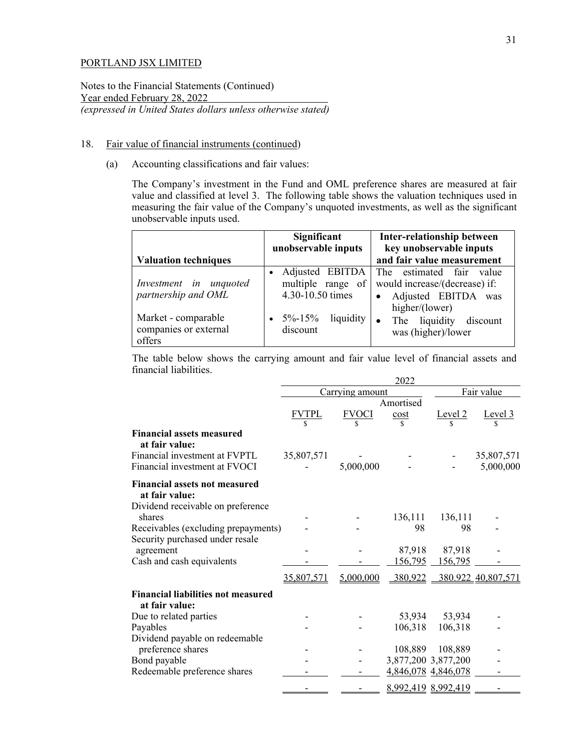Notes to the Financial Statements (Continued) Year ended February 28, 2022 *(expressed in United States dollars unless otherwise stated)* 

### 18. Fair value of financial instruments (continued)

(a) Accounting classifications and fair values:

The Company's investment in the Fund and OML preference shares are measured at fair value and classified at level 3. The following table shows the valuation techniques used in measuring the fair value of the Company's unquoted investments, as well as the significant unobservable inputs used.

|                                                                                                         | Significant<br><b>Inter-relationship between</b><br>unobservable inputs<br>key unobservable inputs |                                                                                                                                                                            |  |
|---------------------------------------------------------------------------------------------------------|----------------------------------------------------------------------------------------------------|----------------------------------------------------------------------------------------------------------------------------------------------------------------------------|--|
| <b>Valuation techniques</b>                                                                             |                                                                                                    | and fair value measurement                                                                                                                                                 |  |
| Investment in unquoted<br>partnership and OML<br>Market - comparable<br>companies or external<br>offers | Adjusted EBITDA<br>4.30-10.50 times<br>• $5\% - 15\%$<br>liquidity<br>discount                     | The estimated fair<br>value<br>multiple range of would increase/(decrease) if:<br>Adjusted EBITDA was<br>higher/(lower)<br>liquidity discount<br>The<br>was (higher)/lower |  |

The table below shows the carrying amount and fair value level of financial assets and financial liabilities.

|                                                             | 2022                          |              |                     |                     |                            |
|-------------------------------------------------------------|-------------------------------|--------------|---------------------|---------------------|----------------------------|
|                                                             | Fair value<br>Carrying amount |              |                     |                     |                            |
|                                                             |                               |              | Amortised           |                     |                            |
|                                                             | <b>FVTPL</b>                  | <b>FVOCI</b> | $\frac{\cosh x}{s}$ | Level 2             | Level 3                    |
|                                                             |                               |              |                     |                     |                            |
| <b>Financial assets measured</b><br>at fair value:          |                               |              |                     |                     |                            |
| Financial investment at FVPTL                               | 35,807,571                    |              |                     |                     | 35,807,571                 |
| Financial investment at FVOCI                               |                               | 5,000,000    |                     |                     | 5,000,000                  |
| <b>Financial assets not measured</b><br>at fair value:      |                               |              |                     |                     |                            |
| Dividend receivable on preference                           |                               |              |                     |                     |                            |
| shares                                                      |                               |              | 136,111             | 136,111             |                            |
| Receivables (excluding prepayments)                         |                               |              | 98                  | 98                  |                            |
| Security purchased under resale                             |                               |              |                     |                     |                            |
| agreement                                                   |                               |              | 87,918              | 87,918              |                            |
| Cash and cash equivalents                                   |                               |              | 156,795             | 156,795             |                            |
|                                                             | 35,807,571                    | 5,000,000    |                     |                     | 380,922 380.922 40,807,571 |
| <b>Financial liabilities not measured</b><br>at fair value: |                               |              |                     |                     |                            |
| Due to related parties                                      |                               |              | 53,934              | 53,934              |                            |
| Payables                                                    |                               |              | 106,318             | 106,318             |                            |
| Dividend payable on redeemable                              |                               |              |                     |                     |                            |
| preference shares                                           |                               |              | 108,889             | 108,889             |                            |
| Bond payable                                                |                               |              |                     | 3,877,200 3,877,200 |                            |
| Redeemable preference shares                                |                               |              | 4,846,078 4,846,078 |                     |                            |
|                                                             |                               |              | 8,992,419 8,992,419 |                     |                            |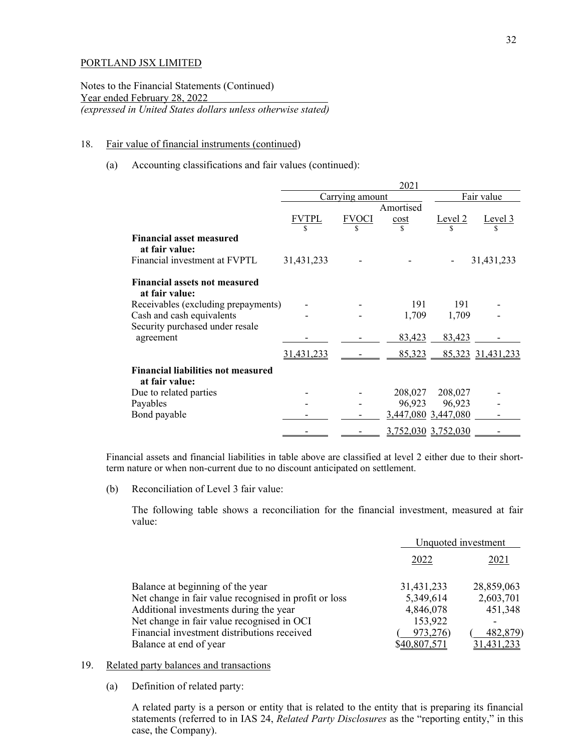Notes to the Financial Statements (Continued) Year ended February 28, 2022 *(expressed in United States dollars unless otherwise stated)* 

### 18. Fair value of financial instruments (continued)

#### (a) Accounting classifications and fair values (continued):

|                                                             | 2021                          |              |                           |         |                   |
|-------------------------------------------------------------|-------------------------------|--------------|---------------------------|---------|-------------------|
|                                                             | Fair value<br>Carrying amount |              |                           |         |                   |
|                                                             |                               |              | Amortised                 |         |                   |
|                                                             | <b>FVTPL</b>                  | <b>FVOCI</b> | $\frac{\cosh x}{\cosh x}$ | Level 2 | Level 3           |
|                                                             |                               | \$           | \$                        |         |                   |
| <b>Financial asset measured</b><br>at fair value:           |                               |              |                           |         |                   |
| Financial investment at FVPTL                               | 31,431,233                    |              |                           |         | 31,431,233        |
| <b>Financial assets not measured</b><br>at fair value:      |                               |              |                           |         |                   |
| Receivables (excluding prepayments)                         |                               |              | 191                       | 191     |                   |
| Cash and cash equivalents                                   |                               |              | 1,709                     | 1,709   |                   |
| Security purchased under resale                             |                               |              |                           |         |                   |
| agreement                                                   |                               |              | 83,423                    | 83,423  |                   |
|                                                             | 31.431.233                    |              | 85,323                    |         | 85,323 31,431,233 |
| <b>Financial liabilities not measured</b><br>at fair value: |                               |              |                           |         |                   |
| Due to related parties                                      |                               |              | 208,027                   | 208,027 |                   |
| Payables                                                    |                               |              | 96,923                    | 96,923  |                   |
| Bond payable                                                |                               |              | 3,447,080 3,447,080       |         |                   |
|                                                             |                               |              | 3,752,030 3,752,030       |         |                   |

Financial assets and financial liabilities in table above are classified at level 2 either due to their shortterm nature or when non-current due to no discount anticipated on settlement.

(b) Reconciliation of Level 3 fair value:

The following table shows a reconciliation for the financial investment, measured at fair value:

|                                                       | Unquoted investment |            |
|-------------------------------------------------------|---------------------|------------|
|                                                       | 2022                | 2021       |
| Balance at beginning of the year                      | 31,431,233          | 28,859,063 |
| Net change in fair value recognised in profit or loss | 5,349,614           | 2,603,701  |
| Additional investments during the year                | 4,846,078           | 451,348    |
| Net change in fair value recognised in OCI            | 153,922             |            |
| Financial investment distributions received           | 973,276)            | 482,879)   |
| Balance at end of year                                | <u>\$40,807,571</u> | 31,431,233 |

#### 19. Related party balances and transactions

(a) Definition of related party:

A related party is a person or entity that is related to the entity that is preparing its financial statements (referred to in IAS 24, *Related Party Disclosures* as the "reporting entity," in this case, the Company).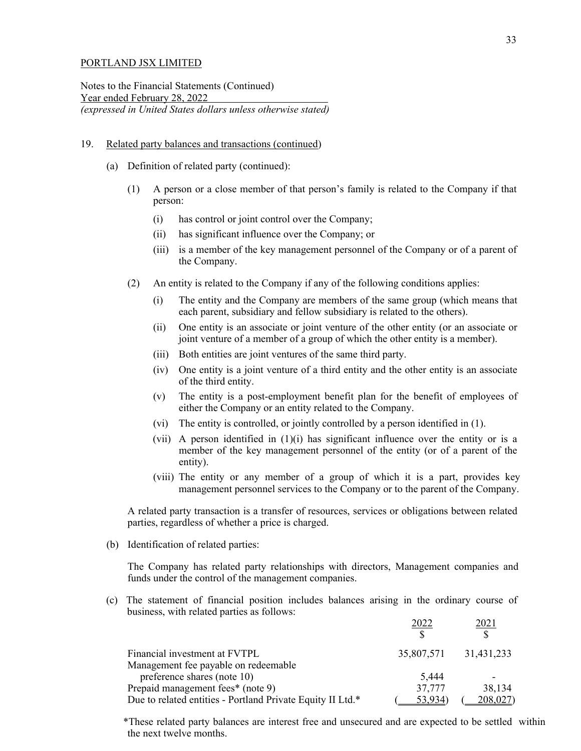Notes to the Financial Statements (Continued) Year ended February 28, 2022 *(expressed in United States dollars unless otherwise stated)* 

- 19. Related party balances and transactions (continued)
	- (a) Definition of related party (continued):
		- (1) A person or a close member of that person's family is related to the Company if that person:
			- (i) has control or joint control over the Company;
			- (ii) has significant influence over the Company; or
			- (iii) is a member of the key management personnel of the Company or of a parent of the Company.
		- (2) An entity is related to the Company if any of the following conditions applies:
			- (i) The entity and the Company are members of the same group (which means that each parent, subsidiary and fellow subsidiary is related to the others).
			- (ii) One entity is an associate or joint venture of the other entity (or an associate or joint venture of a member of a group of which the other entity is a member).
			- (iii) Both entities are joint ventures of the same third party.
			- (iv) One entity is a joint venture of a third entity and the other entity is an associate of the third entity.
			- (v) The entity is a post-employment benefit plan for the benefit of employees of either the Company or an entity related to the Company.
			- (vi) The entity is controlled, or jointly controlled by a person identified in (1).
			- (vii) A person identified in (1)(i) has significant influence over the entity or is a member of the key management personnel of the entity (or of a parent of the entity).
			- (viii) The entity or any member of a group of which it is a part, provides key management personnel services to the Company or to the parent of the Company.

A related party transaction is a transfer of resources, services or obligations between related parties, regardless of whether a price is charged.

(b) Identification of related parties:

 The Company has related party relationships with directors, Management companies and funds under the control of the management companies.

(c) The statement of financial position includes balances arising in the ordinary course of business, with related parties as follows:  $2022$   $2021$ 

|                                                            |            | ZUZI                     |
|------------------------------------------------------------|------------|--------------------------|
| Financial investment at FVTPL                              | 35,807,571 | 31,431,233               |
| Management fee payable on redeemable                       |            |                          |
| preference shares (note 10)                                | 5.444      | $\overline{\phantom{a}}$ |
| Prepaid management fees* (note 9)                          | 37,777     | 38,134                   |
| Due to related entities - Portland Private Equity II Ltd.* | 53,934)    | <u>208,027</u>           |

\*These related party balances are interest free and unsecured and are expected to be settled within the next twelve months.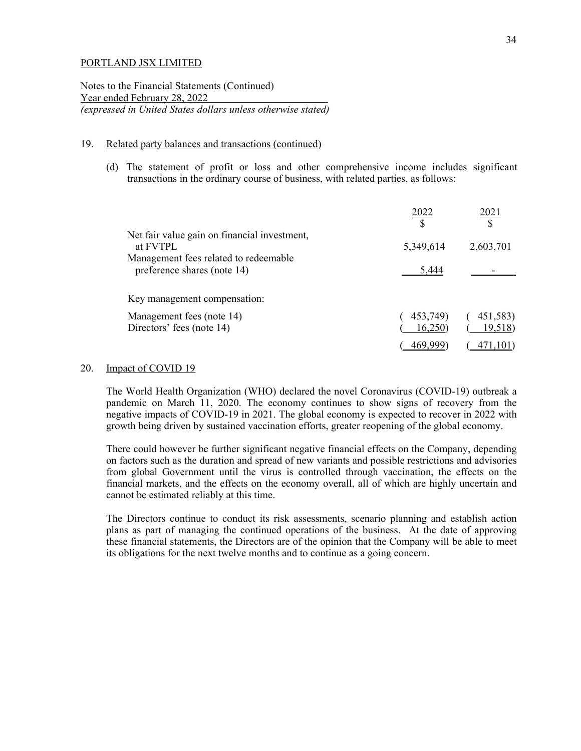Notes to the Financial Statements (Continued) Year ended February 28, 2022 *(expressed in United States dollars unless otherwise stated)* 

#### 19. Related party balances and transactions (continued)

(d) The statement of profit or loss and other comprehensive income includes significant transactions in the ordinary course of business, with related parties, as follows:

|                                                                      |                    | 2021                |
|----------------------------------------------------------------------|--------------------|---------------------|
| Net fair value gain on financial investment,<br>at FVTPL             | 5,349,614          | 2,603,701           |
| Management fees related to redeemable<br>preference shares (note 14) | $\sim$ 444         |                     |
| Key management compensation:                                         |                    |                     |
| Management fees (note 14)<br>Directors' fees (note 14)               | 453,749)<br>16,250 | 451,583)<br>19,518) |
|                                                                      |                    |                     |

#### 20. Impact of COVID 19

The World Health Organization (WHO) declared the novel Coronavirus (COVID-19) outbreak a pandemic on March 11, 2020. The economy continues to show signs of recovery from the negative impacts of COVID-19 in 2021. The global economy is expected to recover in 2022 with growth being driven by sustained vaccination efforts, greater reopening of the global economy.

There could however be further significant negative financial effects on the Company, depending on factors such as the duration and spread of new variants and possible restrictions and advisories from global Government until the virus is controlled through vaccination, the effects on the financial markets, and the effects on the economy overall, all of which are highly uncertain and cannot be estimated reliably at this time.

The Directors continue to conduct its risk assessments, scenario planning and establish action plans as part of managing the continued operations of the business. At the date of approving these financial statements, the Directors are of the opinion that the Company will be able to meet its obligations for the next twelve months and to continue as a going concern.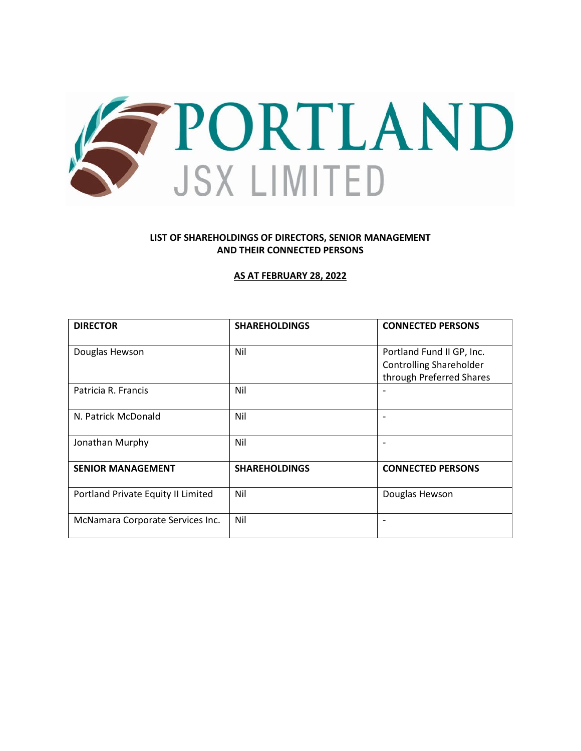

### **LIST OF SHAREHOLDINGS OF DIRECTORS, SENIOR MANAGEMENT AND THEIR CONNECTED PERSONS**

### **AS AT FEBRUARY 28, 2022**

| <b>DIRECTOR</b>                    | <b>SHAREHOLDINGS</b> | <b>CONNECTED PERSONS</b>                                    |
|------------------------------------|----------------------|-------------------------------------------------------------|
| Douglas Hewson                     | Nil                  | Portland Fund II GP, Inc.<br><b>Controlling Shareholder</b> |
|                                    |                      | through Preferred Shares                                    |
| Patricia R. Francis                | Nil                  |                                                             |
| N. Patrick McDonald                | Nil                  |                                                             |
| Jonathan Murphy                    | Nil                  |                                                             |
| <b>SENIOR MANAGEMENT</b>           | <b>SHAREHOLDINGS</b> | <b>CONNECTED PERSONS</b>                                    |
| Portland Private Equity II Limited | Nil                  | Douglas Hewson                                              |
| McNamara Corporate Services Inc.   | Nil                  |                                                             |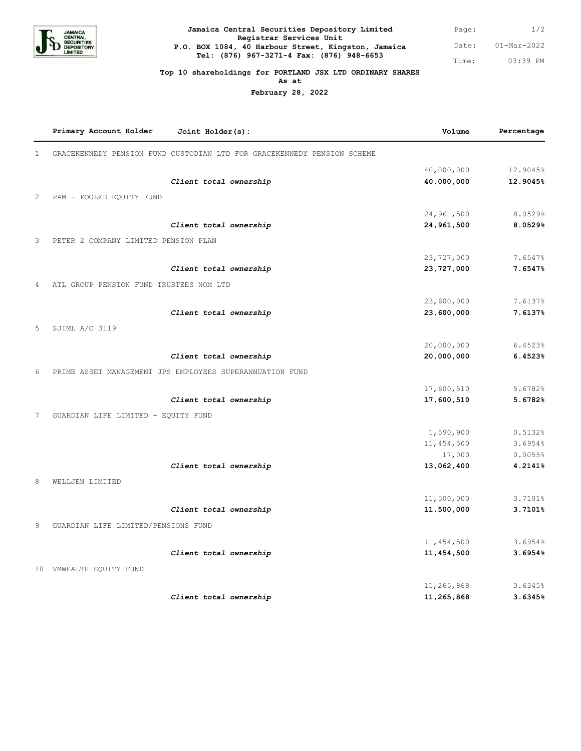

#### **Jamaica Central Securities Depository Limited Registrar Services Unit P.O. BOX 1084, 40 Harbour Street, Kingston, Jamaica Tel: (876) 967-3271-4 Fax: (876) 948-6653**

Page:  $1/2$ Date: 01-Mar-2022 Time: 03:39 PM

#### **Top 10 shareholdings for PORTLAND JSX LTD ORDINARY SHARES As at**

**February 28, 2022**

|              | Primary Account Holder<br>Joint Holder(s):                              | Volume     | Percentage |
|--------------|-------------------------------------------------------------------------|------------|------------|
| $\mathbf{1}$ | GRACEKENNEDY PENSION FUND CUSTODIAN LTD FOR GRACEKENNEDY PENSION SCHEME |            |            |
|              |                                                                         | 40,000,000 | 12.9045%   |
|              | Client total ownership                                                  | 40,000,000 | 12.9045%   |
| 2            | PAM - POOLED EQUITY FUND                                                |            |            |
|              |                                                                         | 24,961,500 | 8.0529%    |
|              | Client total ownership                                                  | 24,961,500 | 8.0529%    |
| 3            | PETER 2 COMPANY LIMITED PENSION PLAN                                    |            |            |
|              |                                                                         | 23,727,000 | 7.6547%    |
|              | Client total ownership                                                  | 23,727,000 | 7.6547%    |
| 4            | ATL GROUP PENSION FUND TRUSTEES NOM LTD                                 |            |            |
|              |                                                                         | 23,600,000 | 7.6137%    |
|              | Client total ownership                                                  | 23,600,000 | 7.6137%    |
| 5            | SJIML A/C 3119                                                          |            |            |
|              |                                                                         | 20,000,000 | 6.4523%    |
|              | Client total ownership                                                  | 20,000,000 | 6.4523%    |
| 6            | PRIME ASSET MANAGEMENT JPS EMPLOYEES SUPERANNUATION FUND                |            |            |
|              |                                                                         | 17,600,510 | 5.6782%    |
|              | Client total ownership                                                  | 17,600,510 | 5.6782%    |
| 7            | GUARDIAN LIFE LIMITED - EQUITY FUND                                     |            |            |
|              |                                                                         | 1,590,900  | 0.5132%    |
|              |                                                                         | 11,454,500 | 3.6954%    |
|              |                                                                         | 17,000     | 0.0055%    |
|              | Client total ownership                                                  | 13,062,400 | 4.2141%    |
| 8            | WELLJEN LIMITED                                                         |            |            |
|              |                                                                         | 11,500,000 | 3.7101%    |
|              | Client total ownership                                                  | 11,500,000 | 3.7101%    |
| 9            | GUARDIAN LIFE LIMITED/PENSIONS FUND                                     |            |            |
|              |                                                                         | 11,454,500 | 3.6954%    |
|              | Client total ownership                                                  | 11,454,500 | 3.6954%    |
|              | 10 VMWEALTH EQUITY FUND                                                 |            |            |
|              |                                                                         | 11,265,868 | 3.6345%    |
|              | Client total ownership                                                  | 11,265,868 | 3.6345%    |